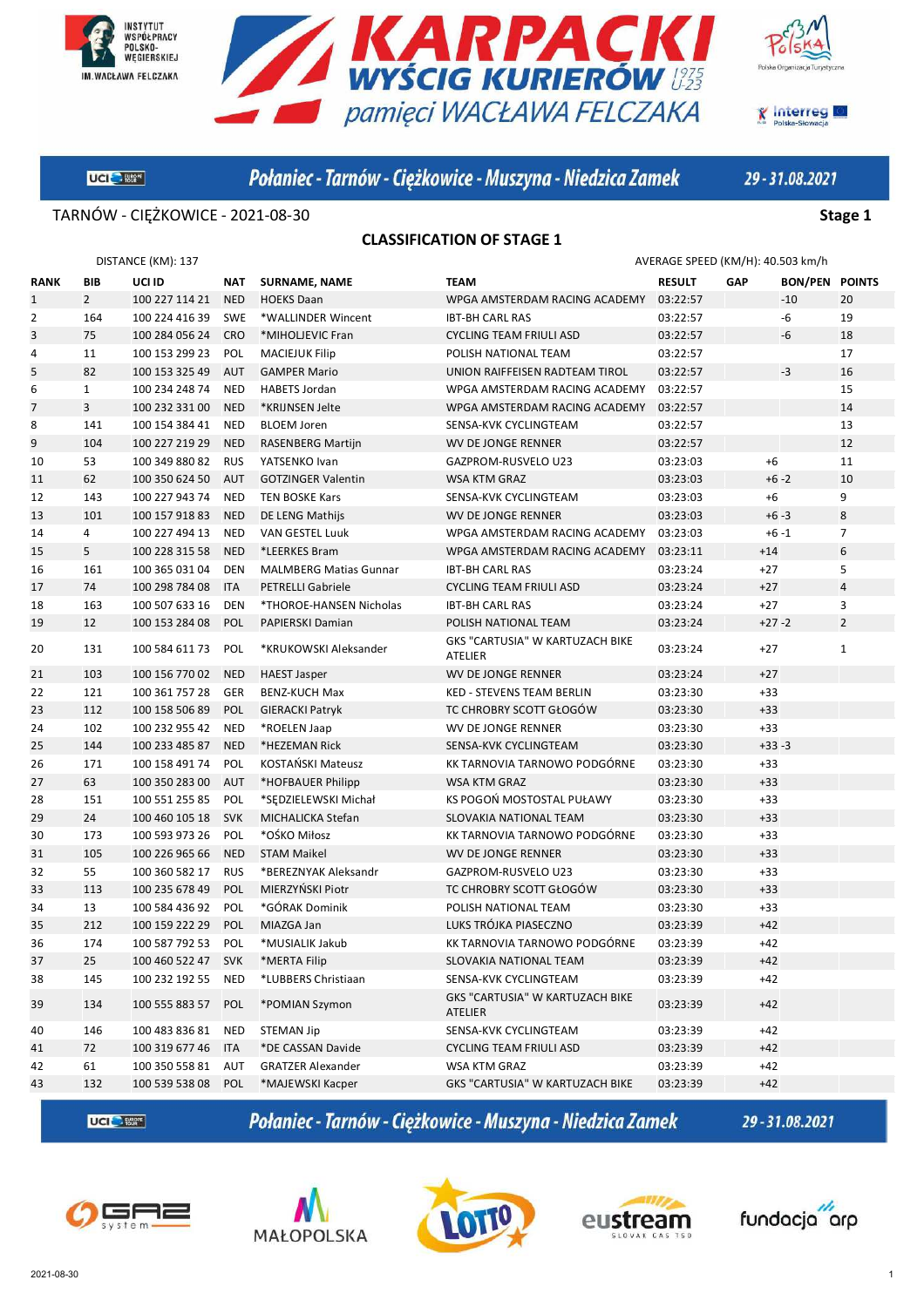





**X** Interreg

UCI Start

Połaniec - Tarnów - Ciężkowice - Muszyna - Niedzica Zamek

29-31.08.2021

TARNÓW - CIĘŻKOWICE - 2021-08-30 **Stage 1**

#### **CLASSIFICATION OF STAGE 1**

|      | DISTANCE (KM): 137 |                    |            |                               |                                            | AVERAGE SPEED (KM/H): 40.503 km/h |       |                       |                |
|------|--------------------|--------------------|------------|-------------------------------|--------------------------------------------|-----------------------------------|-------|-----------------------|----------------|
| RANK | BIB                | UCI ID             | <b>NAT</b> | <b>SURNAME, NAME</b>          | <b>TEAM</b>                                | <b>RESULT</b>                     | GAP   | <b>BON/PEN POINTS</b> |                |
| 1    | $\overline{2}$     | 100 227 114 21     | <b>NED</b> | <b>HOEKS Daan</b>             | WPGA AMSTERDAM RACING ACADEMY              | 03:22:57                          |       | $-10$                 | 20             |
| 2    | 164                | 100 224 416 39     | <b>SWE</b> | *WALLINDER Wincent            | <b>IBT-BH CARL RAS</b>                     | 03:22:57                          |       | -6                    | 19             |
| 3    | 75                 | 100 284 056 24     | <b>CRO</b> | *MIHOLJEVIC Fran              | <b>CYCLING TEAM FRIULI ASD</b>             | 03:22:57                          |       | -6                    | 18             |
| 4    | 11                 | 100 153 299 23     | POL        | <b>MACIEJUK Filip</b>         | POLISH NATIONAL TEAM                       | 03:22:57                          |       |                       | 17             |
| 5    | 82                 | 100 153 325 49     | <b>AUT</b> | <b>GAMPER Mario</b>           | UNION RAIFFEISEN RADTEAM TIROL             | 03:22:57                          |       | -3                    | 16             |
| 6    | $\mathbf{1}$       | 100 234 248 74     | <b>NED</b> | <b>HABETS Jordan</b>          | WPGA AMSTERDAM RACING ACADEMY              | 03:22:57                          |       |                       | 15             |
| 7    | 3                  | 100 232 331 00     | <b>NED</b> | *KRIJNSEN Jelte               | WPGA AMSTERDAM RACING ACADEMY              | 03:22:57                          |       |                       | 14             |
| 8    | 141                | 100 154 384 41     | <b>NED</b> | <b>BLOEM Joren</b>            | SENSA-KVK CYCLINGTEAM                      | 03:22:57                          |       |                       | 13             |
| 9    | 104                | 100 227 219 29     | <b>NED</b> | <b>RASENBERG Martijn</b>      | WV DE JONGE RENNER                         | 03:22:57                          |       |                       | 12             |
| 10   | 53                 | 100 349 880 82     | <b>RUS</b> | YATSENKO Ivan                 | GAZPROM-RUSVELO U23                        | 03:23:03                          |       | $+6$                  | 11             |
| 11   | 62                 | 100 350 624 50     | AUT        | <b>GOTZINGER Valentin</b>     | <b>WSA KTM GRAZ</b>                        | 03:23:03                          |       | $+6 - 2$              | 10             |
| 12   | 143                | 100 227 943 74     | <b>NED</b> | <b>TEN BOSKE Kars</b>         | SENSA-KVK CYCLINGTEAM                      | 03:23:03                          |       | $+6$                  | 9              |
| 13   | 101                | 100 157 918 83     | <b>NED</b> | DE LENG Mathijs               | WV DE JONGE RENNER                         | 03:23:03                          |       | $+6-3$                | 8              |
| 14   | 4                  | 100 227 494 13     | <b>NED</b> | VAN GESTEL Luuk               | WPGA AMSTERDAM RACING ACADEMY              | 03:23:03                          |       | $+6 - 1$              | $\overline{7}$ |
| 15   | 5                  | 100 228 315 58     | <b>NED</b> | *LEERKES Bram                 | WPGA AMSTERDAM RACING ACADEMY              | 03:23:11                          | $+14$ |                       | 6              |
| 16   | 161                | 100 365 031 04     | <b>DEN</b> | <b>MALMBERG Matias Gunnar</b> | <b>IBT-BH CARL RAS</b>                     | 03:23:24                          | $+27$ |                       | 5              |
| 17   | 74                 | 100 298 784 08     | <b>ITA</b> | <b>PETRELLI Gabriele</b>      | <b>CYCLING TEAM FRIULI ASD</b>             | 03:23:24                          | $+27$ |                       | $\overline{4}$ |
| 18   | 163                | 100 507 633 16     | <b>DEN</b> | *THOROE-HANSEN Nicholas       | <b>IBT-BH CARL RAS</b>                     | 03:23:24                          | $+27$ |                       | 3              |
| 19   | 12                 | 100 153 284 08     | <b>POL</b> | PAPIERSKI Damian              | POLISH NATIONAL TEAM                       | 03:23:24                          |       | $+27 - 2$             | $\overline{2}$ |
| 20   | 131                | 100 584 611 73     | POL        | *KRUKOWSKI Aleksander         | GKS "CARTUSIA" W KARTUZACH BIKE<br>ATELIER | 03:23:24                          | $+27$ |                       | 1              |
| 21   | 103                | 100 156 770 02     | <b>NED</b> | <b>HAEST Jasper</b>           | WV DE JONGE RENNER                         | 03:23:24                          | $+27$ |                       |                |
| 22   | 121                | 100 361 757 28     | <b>GER</b> | <b>BENZ-KUCH Max</b>          | <b>KED - STEVENS TEAM BERLIN</b>           | 03:23:30                          | $+33$ |                       |                |
| 23   | 112                | 100 158 506 89     | <b>POL</b> | <b>GIERACKI Patryk</b>        | TC CHROBRY SCOTT GŁOGÓW                    | 03:23:30                          | $+33$ |                       |                |
| 24   | 102                | 100 232 955 42     | <b>NED</b> | *ROELEN Jaap                  | WV DE JONGE RENNER                         | 03:23:30                          | $+33$ |                       |                |
| 25   | 144                | 100 233 485 87     | <b>NED</b> | *HEZEMAN Rick                 | SENSA-KVK CYCLINGTEAM                      | 03:23:30                          |       | $+33-3$               |                |
| 26   | 171                | 100 158 491 74     | POL        | KOSTAŃSKI Mateusz             | KK TARNOVIA TARNOWO PODGÓRNE               | 03:23:30                          | $+33$ |                       |                |
| 27   | 63                 | 100 350 283 00     | <b>AUT</b> | *HOFBAUER Philipp             | <b>WSA KTM GRAZ</b>                        | 03:23:30                          | $+33$ |                       |                |
| 28   | 151                | 100 551 255 85     | POL        | *SEDZIELEWSKI Michał          | KS POGOŃ MOSTOSTAL PUŁAWY                  | 03:23:30                          | $+33$ |                       |                |
| 29   | 24                 | 100 460 105 18     | <b>SVK</b> | MICHALICKA Stefan             | SLOVAKIA NATIONAL TEAM                     | 03:23:30                          | $+33$ |                       |                |
| 30   | 173                | 100 593 973 26     | POL        | *OŚKO Miłosz                  | KK TARNOVIA TARNOWO PODGÓRNE               | 03:23:30                          | $+33$ |                       |                |
| 31   | 105                | 100 226 965 66     | <b>NED</b> | <b>STAM Maikel</b>            | <b>WV DE JONGE RENNER</b>                  | 03:23:30                          | $+33$ |                       |                |
| 32   | 55                 | 100 360 582 17     | <b>RUS</b> | *BEREZNYAK Aleksandr          | GAZPROM-RUSVELO U23                        | 03:23:30                          | $+33$ |                       |                |
| 33   | 113                | 100 235 678 49     | POL        | MIERZYŃSKI Piotr              | TC CHROBRY SCOTT GŁOGÓW                    | 03:23:30                          | $+33$ |                       |                |
| 34   | 13                 | 100 584 436 92     | POL        | *GÓRAK Dominik                | POLISH NATIONAL TEAM                       | 03:23:30                          | $+33$ |                       |                |
| 35   | 212                | 100 159 222 29     | POL        | MIAZGA Jan                    | LUKS TRÓJKA PIASECZNO                      | 03:23:39                          | $+42$ |                       |                |
| 36   | 174                | 100 587 792 53     | POL        | *MUSIALIK Jakub               | KK TARNOVIA TARNOWO PODGÓRNE               | 03:23:39                          | $+42$ |                       |                |
| 37   | 25                 | 100 460 522 47 SVK |            | *MERTA Filip                  | SLOVAKIA NATIONAL TEAM                     | 03:23:39                          | $+42$ |                       |                |
| 38   | 145                | 100 232 192 55     | <b>NED</b> | *LUBBERS Christiaan           | SENSA-KVK CYCLINGTEAM                      | 03:23:39                          | +42   |                       |                |
| 39   | 134                | 100 555 883 57     | <b>POL</b> | *POMIAN Szymon                | GKS "CARTUSIA" W KARTUZACH BIKE<br>ATELIER | 03:23:39                          | $+42$ |                       |                |
| 40   | 146                | 100 483 836 81     | <b>NED</b> | <b>STEMAN Jip</b>             | SENSA-KVK CYCLINGTEAM                      | 03:23:39                          | $+42$ |                       |                |
| 41   | 72                 | 100 319 677 46     | <b>ITA</b> | *DE CASSAN Davide             | <b>CYCLING TEAM FRIULI ASD</b>             | 03:23:39                          | $+42$ |                       |                |
| 42   | 61                 | 100 350 558 81     | AUT        | <b>GRATZER Alexander</b>      | WSA KTM GRAZ                               | 03:23:39                          | $+42$ |                       |                |
| 43   | 132                | 100 539 538 08     | POL        | *MAJEWSKI Kacper              | GKS "CARTUSIA" W KARTUZACH BIKE            | 03:23:39                          | $+42$ |                       |                |

**UCI<sup>C</sup>** Eller

Połaniec - Tarnów - Ciężkowice - Muszyna - Niedzica Zamek









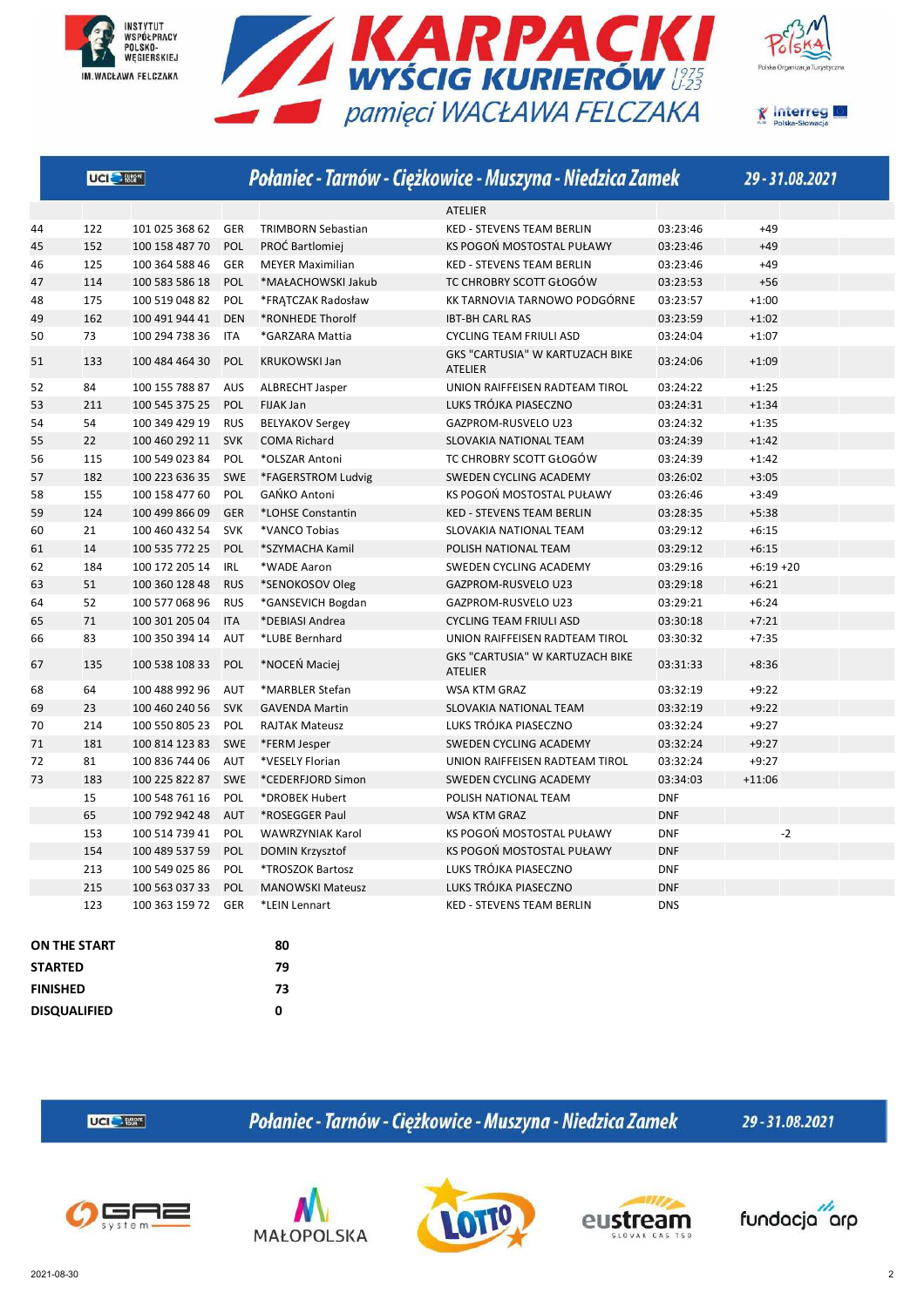







| <b>ATELIER</b><br>122<br>101 025 368 62<br><b>TRIMBORN Sebastian</b><br><b>KED - STEVENS TEAM BERLIN</b><br>03:23:46<br>$+49$<br>44<br><b>GER</b><br>152<br>POL<br>PROĆ Bartlomiej<br>KS POGOŃ MOSTOSTAL PUŁAWY<br>03:23:46<br>$+49$<br>45<br>100 158 487 70<br>125<br>GER<br>03:23:46<br>$+49$<br>46<br>100 364 588 46<br><b>MEYER Maximilian</b><br><b>KED - STEVENS TEAM BERLIN</b><br>114<br>POL<br>TC CHROBRY SCOTT GŁOGÓW<br>03:23:53<br>$+56$<br>47<br>100 583 586 18<br>*MAŁACHOWSKI Jakub<br>175<br>100 519 048 82<br>KK TARNOVIA TARNOWO PODGÓRNE<br>03:23:57<br>$+1:00$<br>48<br>POL<br>*FRATCZAK Radosław<br>162<br>$+1:02$<br>49<br>100 491 944 41<br><b>DEN</b><br>*RONHEDE Thorolf<br><b>IBT-BH CARL RAS</b><br>03:23:59<br>73<br>03:24:04<br>$+1:07$<br>50<br>100 294 738 36<br>ITA<br>*GARZARA Mattia<br><b>CYCLING TEAM FRIULI ASD</b><br>GKS "CARTUSIA" W KARTUZACH BIKE<br>51<br>133<br>100 484 464 30<br><b>POL</b><br><b>KRUKOWSKI Jan</b><br>03:24:06<br>$+1:09$<br>ATELIER<br>84<br>03:24:22<br>$+1:25$<br>52<br>100 155 788 87<br>AUS<br>ALBRECHT Jasper<br>UNION RAIFFEISEN RADTEAM TIROL<br>53<br>211<br>LUKS TRÓJKA PIASECZNO<br>$+1:34$<br>100 545 375 25<br><b>POL</b><br>FIJAK Jan<br>03:24:31<br>54<br>54<br>100 349 429 19<br><b>RUS</b><br><b>BELYAKOV Sergey</b><br>GAZPROM-RUSVELO U23<br>03:24:32<br>$+1:35$<br>22<br>03:24:39<br>$+1:42$<br>55<br>100 460 292 11<br><b>SVK</b><br><b>COMA Richard</b><br>SLOVAKIA NATIONAL TEAM<br>56<br>115<br>100 549 023 84<br>POL<br>*OLSZAR Antoni<br>TC CHROBRY SCOTT GŁOGÓW<br>03:24:39<br>$+1:42$<br>182<br>SWEDEN CYCLING ACADEMY<br>03:26:02<br>$+3:05$<br>57<br>100 223 636 35<br><b>SWE</b><br>*FAGERSTROM Ludvig<br>155<br>100 158 477 60<br>GAŃKO Antoni<br>KS POGOŃ MOSTOSTAL PUŁAWY<br>$+3:49$<br>58<br>POL<br>03:26:46<br>124<br>$+5:38$<br>59<br>100 499 866 09<br><b>GER</b><br>*LOHSE Constantin<br><b>KED - STEVENS TEAM BERLIN</b><br>03:28:35<br>21<br>$+6:15$<br>60<br>100 460 432 54<br><b>SVK</b><br>*VANCO Tobias<br>SLOVAKIA NATIONAL TEAM<br>03:29:12<br>14<br>03:29:12<br>$+6:15$<br>61<br>100 535 772 25<br><b>POL</b><br>*SZYMACHA Kamil<br>POLISH NATIONAL TEAM<br>184<br>IRL<br>03:29:16<br>$+6:19 + 20$<br>62<br>100 172 205 14<br>*WADE Aaron<br>SWEDEN CYCLING ACADEMY<br>51<br>03:29:18<br>$+6:21$<br>63<br>100 360 128 48<br><b>RUS</b><br>*SENOKOSOV Oleg<br>GAZPROM-RUSVELO U23<br>52<br>100 577 068 96<br><b>RUS</b><br>*GANSEVICH Bogdan<br>03:29:21<br>$+6:24$<br>64<br>GAZPROM-RUSVELO U23<br>71<br><b>ITA</b><br>*DEBIASI Andrea<br>$+7:21$<br>65<br>100 301 205 04<br><b>CYCLING TEAM FRIULI ASD</b><br>03:30:18<br>83<br>*LUBE Bernhard<br>03:30:32<br>$+7:35$<br>66<br>100 350 394 14<br>AUT<br>UNION RAIFFEISEN RADTEAM TIROL<br>GKS "CARTUSIA" W KARTUZACH BIKE<br>*NOCEŃ Maciej<br>03:31:33<br>135<br>POL<br>$+8:36$<br>67<br>100 538 108 33<br><b>ATELIER</b><br>64<br>03:32:19<br>$+9:22$<br>68<br>100 488 992 96<br>AUT<br>*MARBLER Stefan<br>WSA KTM GRAZ<br>23<br>03:32:19<br>$+9:22$<br>69<br>100 460 240 56<br><b>SVK</b><br>SLOVAKIA NATIONAL TEAM<br><b>GAVENDA Martin</b><br>214<br>LUKS TRÓJKA PIASECZNO<br>$+9:27$<br>70<br>100 550 805 23<br>POL<br><b>RAJTAK Mateusz</b><br>03:32:24<br>181<br>03:32:24<br>$+9:27$<br>100 814 123 83<br><b>SWE</b><br>*FERM Jesper<br>SWEDEN CYCLING ACADEMY<br>71<br>81<br><b>AUT</b><br>03:32:24<br>$+9:27$<br>72<br>100 836 744 06<br>*VESELY Florian<br>UNION RAIFFEISEN RADTEAM TIROL<br>183<br>73<br>100 225 822 87<br><b>SWE</b><br>*CEDERFJORD Simon<br>SWEDEN CYCLING ACADEMY<br>03:34:03<br>$+11:06$<br>15<br>100 548 761 16<br>POL<br>*DROBEK Hubert<br>POLISH NATIONAL TEAM<br><b>DNF</b><br>65<br><b>DNF</b><br>100 792 942 48<br><b>AUT</b><br>*ROSEGGER Paul<br><b>WSA KTM GRAZ</b><br>$-2$<br>153<br>KS POGOŃ MOSTOSTAL PUŁAWY<br>100 514 739 41<br>POL<br><b>WAWRZYNIAK Karol</b><br><b>DNF</b><br>154<br>KS POGOŃ MOSTOSTAL PUŁAWY<br>100 489 537 59<br><b>POL</b><br><b>DOMIN Krzysztof</b><br><b>DNF</b><br>213<br>100 549 025 86<br>*TROSZOK Bartosz<br>LUKS TRÓJKA PIASECZNO<br><b>DNF</b><br>POL<br><b>DNF</b><br>215<br>100 563 037 33<br>LUKS TRÓJKA PIASECZNO<br><b>POL</b><br><b>MANOWSKI Mateusz</b><br>123<br>100 363 159 72<br><b>KED - STEVENS TEAM BERLIN</b><br><b>DNS</b><br>GER<br>*LEIN Lennart<br><b>ON THE START</b><br>80<br><b>STARTED</b><br>79<br>73<br><b>FINISHED</b> | UCI <sup>O</sup> Ester |  | Połaniec - Tarnów - Ciężkowice - Muszyna - Niedzica Zamek | 29-31.08.2021 |
|-------------------------------------------------------------------------------------------------------------------------------------------------------------------------------------------------------------------------------------------------------------------------------------------------------------------------------------------------------------------------------------------------------------------------------------------------------------------------------------------------------------------------------------------------------------------------------------------------------------------------------------------------------------------------------------------------------------------------------------------------------------------------------------------------------------------------------------------------------------------------------------------------------------------------------------------------------------------------------------------------------------------------------------------------------------------------------------------------------------------------------------------------------------------------------------------------------------------------------------------------------------------------------------------------------------------------------------------------------------------------------------------------------------------------------------------------------------------------------------------------------------------------------------------------------------------------------------------------------------------------------------------------------------------------------------------------------------------------------------------------------------------------------------------------------------------------------------------------------------------------------------------------------------------------------------------------------------------------------------------------------------------------------------------------------------------------------------------------------------------------------------------------------------------------------------------------------------------------------------------------------------------------------------------------------------------------------------------------------------------------------------------------------------------------------------------------------------------------------------------------------------------------------------------------------------------------------------------------------------------------------------------------------------------------------------------------------------------------------------------------------------------------------------------------------------------------------------------------------------------------------------------------------------------------------------------------------------------------------------------------------------------------------------------------------------------------------------------------------------------------------------------------------------------------------------------------------------------------------------------------------------------------------------------------------------------------------------------------------------------------------------------------------------------------------------------------------------------------------------------------------------------------------------------------------------------------------------------------------------------------------------------------------------------------------------------------------------------------------------------------------------------------------------------------------------------------------------------------------------------------------------------------------------------------------------------------------------------------------------------------------------------------------------------------------------------------------------------------------------------------------------------------------------------------------------------------------------------------------------------------------------------------------------------------------------------------------------------------------------------------------------------|------------------------|--|-----------------------------------------------------------|---------------|
|                                                                                                                                                                                                                                                                                                                                                                                                                                                                                                                                                                                                                                                                                                                                                                                                                                                                                                                                                                                                                                                                                                                                                                                                                                                                                                                                                                                                                                                                                                                                                                                                                                                                                                                                                                                                                                                                                                                                                                                                                                                                                                                                                                                                                                                                                                                                                                                                                                                                                                                                                                                                                                                                                                                                                                                                                                                                                                                                                                                                                                                                                                                                                                                                                                                                                                                                                                                                                                                                                                                                                                                                                                                                                                                                                                                                                                                                                                                                                                                                                                                                                                                                                                                                                                                                                                                                                                                           |                        |  |                                                           |               |
|                                                                                                                                                                                                                                                                                                                                                                                                                                                                                                                                                                                                                                                                                                                                                                                                                                                                                                                                                                                                                                                                                                                                                                                                                                                                                                                                                                                                                                                                                                                                                                                                                                                                                                                                                                                                                                                                                                                                                                                                                                                                                                                                                                                                                                                                                                                                                                                                                                                                                                                                                                                                                                                                                                                                                                                                                                                                                                                                                                                                                                                                                                                                                                                                                                                                                                                                                                                                                                                                                                                                                                                                                                                                                                                                                                                                                                                                                                                                                                                                                                                                                                                                                                                                                                                                                                                                                                                           |                        |  |                                                           |               |
|                                                                                                                                                                                                                                                                                                                                                                                                                                                                                                                                                                                                                                                                                                                                                                                                                                                                                                                                                                                                                                                                                                                                                                                                                                                                                                                                                                                                                                                                                                                                                                                                                                                                                                                                                                                                                                                                                                                                                                                                                                                                                                                                                                                                                                                                                                                                                                                                                                                                                                                                                                                                                                                                                                                                                                                                                                                                                                                                                                                                                                                                                                                                                                                                                                                                                                                                                                                                                                                                                                                                                                                                                                                                                                                                                                                                                                                                                                                                                                                                                                                                                                                                                                                                                                                                                                                                                                                           |                        |  |                                                           |               |
|                                                                                                                                                                                                                                                                                                                                                                                                                                                                                                                                                                                                                                                                                                                                                                                                                                                                                                                                                                                                                                                                                                                                                                                                                                                                                                                                                                                                                                                                                                                                                                                                                                                                                                                                                                                                                                                                                                                                                                                                                                                                                                                                                                                                                                                                                                                                                                                                                                                                                                                                                                                                                                                                                                                                                                                                                                                                                                                                                                                                                                                                                                                                                                                                                                                                                                                                                                                                                                                                                                                                                                                                                                                                                                                                                                                                                                                                                                                                                                                                                                                                                                                                                                                                                                                                                                                                                                                           |                        |  |                                                           |               |
|                                                                                                                                                                                                                                                                                                                                                                                                                                                                                                                                                                                                                                                                                                                                                                                                                                                                                                                                                                                                                                                                                                                                                                                                                                                                                                                                                                                                                                                                                                                                                                                                                                                                                                                                                                                                                                                                                                                                                                                                                                                                                                                                                                                                                                                                                                                                                                                                                                                                                                                                                                                                                                                                                                                                                                                                                                                                                                                                                                                                                                                                                                                                                                                                                                                                                                                                                                                                                                                                                                                                                                                                                                                                                                                                                                                                                                                                                                                                                                                                                                                                                                                                                                                                                                                                                                                                                                                           |                        |  |                                                           |               |
|                                                                                                                                                                                                                                                                                                                                                                                                                                                                                                                                                                                                                                                                                                                                                                                                                                                                                                                                                                                                                                                                                                                                                                                                                                                                                                                                                                                                                                                                                                                                                                                                                                                                                                                                                                                                                                                                                                                                                                                                                                                                                                                                                                                                                                                                                                                                                                                                                                                                                                                                                                                                                                                                                                                                                                                                                                                                                                                                                                                                                                                                                                                                                                                                                                                                                                                                                                                                                                                                                                                                                                                                                                                                                                                                                                                                                                                                                                                                                                                                                                                                                                                                                                                                                                                                                                                                                                                           |                        |  |                                                           |               |
|                                                                                                                                                                                                                                                                                                                                                                                                                                                                                                                                                                                                                                                                                                                                                                                                                                                                                                                                                                                                                                                                                                                                                                                                                                                                                                                                                                                                                                                                                                                                                                                                                                                                                                                                                                                                                                                                                                                                                                                                                                                                                                                                                                                                                                                                                                                                                                                                                                                                                                                                                                                                                                                                                                                                                                                                                                                                                                                                                                                                                                                                                                                                                                                                                                                                                                                                                                                                                                                                                                                                                                                                                                                                                                                                                                                                                                                                                                                                                                                                                                                                                                                                                                                                                                                                                                                                                                                           |                        |  |                                                           |               |
|                                                                                                                                                                                                                                                                                                                                                                                                                                                                                                                                                                                                                                                                                                                                                                                                                                                                                                                                                                                                                                                                                                                                                                                                                                                                                                                                                                                                                                                                                                                                                                                                                                                                                                                                                                                                                                                                                                                                                                                                                                                                                                                                                                                                                                                                                                                                                                                                                                                                                                                                                                                                                                                                                                                                                                                                                                                                                                                                                                                                                                                                                                                                                                                                                                                                                                                                                                                                                                                                                                                                                                                                                                                                                                                                                                                                                                                                                                                                                                                                                                                                                                                                                                                                                                                                                                                                                                                           |                        |  |                                                           |               |
|                                                                                                                                                                                                                                                                                                                                                                                                                                                                                                                                                                                                                                                                                                                                                                                                                                                                                                                                                                                                                                                                                                                                                                                                                                                                                                                                                                                                                                                                                                                                                                                                                                                                                                                                                                                                                                                                                                                                                                                                                                                                                                                                                                                                                                                                                                                                                                                                                                                                                                                                                                                                                                                                                                                                                                                                                                                                                                                                                                                                                                                                                                                                                                                                                                                                                                                                                                                                                                                                                                                                                                                                                                                                                                                                                                                                                                                                                                                                                                                                                                                                                                                                                                                                                                                                                                                                                                                           |                        |  |                                                           |               |
|                                                                                                                                                                                                                                                                                                                                                                                                                                                                                                                                                                                                                                                                                                                                                                                                                                                                                                                                                                                                                                                                                                                                                                                                                                                                                                                                                                                                                                                                                                                                                                                                                                                                                                                                                                                                                                                                                                                                                                                                                                                                                                                                                                                                                                                                                                                                                                                                                                                                                                                                                                                                                                                                                                                                                                                                                                                                                                                                                                                                                                                                                                                                                                                                                                                                                                                                                                                                                                                                                                                                                                                                                                                                                                                                                                                                                                                                                                                                                                                                                                                                                                                                                                                                                                                                                                                                                                                           |                        |  |                                                           |               |
|                                                                                                                                                                                                                                                                                                                                                                                                                                                                                                                                                                                                                                                                                                                                                                                                                                                                                                                                                                                                                                                                                                                                                                                                                                                                                                                                                                                                                                                                                                                                                                                                                                                                                                                                                                                                                                                                                                                                                                                                                                                                                                                                                                                                                                                                                                                                                                                                                                                                                                                                                                                                                                                                                                                                                                                                                                                                                                                                                                                                                                                                                                                                                                                                                                                                                                                                                                                                                                                                                                                                                                                                                                                                                                                                                                                                                                                                                                                                                                                                                                                                                                                                                                                                                                                                                                                                                                                           |                        |  |                                                           |               |
|                                                                                                                                                                                                                                                                                                                                                                                                                                                                                                                                                                                                                                                                                                                                                                                                                                                                                                                                                                                                                                                                                                                                                                                                                                                                                                                                                                                                                                                                                                                                                                                                                                                                                                                                                                                                                                                                                                                                                                                                                                                                                                                                                                                                                                                                                                                                                                                                                                                                                                                                                                                                                                                                                                                                                                                                                                                                                                                                                                                                                                                                                                                                                                                                                                                                                                                                                                                                                                                                                                                                                                                                                                                                                                                                                                                                                                                                                                                                                                                                                                                                                                                                                                                                                                                                                                                                                                                           |                        |  |                                                           |               |
|                                                                                                                                                                                                                                                                                                                                                                                                                                                                                                                                                                                                                                                                                                                                                                                                                                                                                                                                                                                                                                                                                                                                                                                                                                                                                                                                                                                                                                                                                                                                                                                                                                                                                                                                                                                                                                                                                                                                                                                                                                                                                                                                                                                                                                                                                                                                                                                                                                                                                                                                                                                                                                                                                                                                                                                                                                                                                                                                                                                                                                                                                                                                                                                                                                                                                                                                                                                                                                                                                                                                                                                                                                                                                                                                                                                                                                                                                                                                                                                                                                                                                                                                                                                                                                                                                                                                                                                           |                        |  |                                                           |               |
|                                                                                                                                                                                                                                                                                                                                                                                                                                                                                                                                                                                                                                                                                                                                                                                                                                                                                                                                                                                                                                                                                                                                                                                                                                                                                                                                                                                                                                                                                                                                                                                                                                                                                                                                                                                                                                                                                                                                                                                                                                                                                                                                                                                                                                                                                                                                                                                                                                                                                                                                                                                                                                                                                                                                                                                                                                                                                                                                                                                                                                                                                                                                                                                                                                                                                                                                                                                                                                                                                                                                                                                                                                                                                                                                                                                                                                                                                                                                                                                                                                                                                                                                                                                                                                                                                                                                                                                           |                        |  |                                                           |               |
|                                                                                                                                                                                                                                                                                                                                                                                                                                                                                                                                                                                                                                                                                                                                                                                                                                                                                                                                                                                                                                                                                                                                                                                                                                                                                                                                                                                                                                                                                                                                                                                                                                                                                                                                                                                                                                                                                                                                                                                                                                                                                                                                                                                                                                                                                                                                                                                                                                                                                                                                                                                                                                                                                                                                                                                                                                                                                                                                                                                                                                                                                                                                                                                                                                                                                                                                                                                                                                                                                                                                                                                                                                                                                                                                                                                                                                                                                                                                                                                                                                                                                                                                                                                                                                                                                                                                                                                           |                        |  |                                                           |               |
|                                                                                                                                                                                                                                                                                                                                                                                                                                                                                                                                                                                                                                                                                                                                                                                                                                                                                                                                                                                                                                                                                                                                                                                                                                                                                                                                                                                                                                                                                                                                                                                                                                                                                                                                                                                                                                                                                                                                                                                                                                                                                                                                                                                                                                                                                                                                                                                                                                                                                                                                                                                                                                                                                                                                                                                                                                                                                                                                                                                                                                                                                                                                                                                                                                                                                                                                                                                                                                                                                                                                                                                                                                                                                                                                                                                                                                                                                                                                                                                                                                                                                                                                                                                                                                                                                                                                                                                           |                        |  |                                                           |               |
|                                                                                                                                                                                                                                                                                                                                                                                                                                                                                                                                                                                                                                                                                                                                                                                                                                                                                                                                                                                                                                                                                                                                                                                                                                                                                                                                                                                                                                                                                                                                                                                                                                                                                                                                                                                                                                                                                                                                                                                                                                                                                                                                                                                                                                                                                                                                                                                                                                                                                                                                                                                                                                                                                                                                                                                                                                                                                                                                                                                                                                                                                                                                                                                                                                                                                                                                                                                                                                                                                                                                                                                                                                                                                                                                                                                                                                                                                                                                                                                                                                                                                                                                                                                                                                                                                                                                                                                           |                        |  |                                                           |               |
|                                                                                                                                                                                                                                                                                                                                                                                                                                                                                                                                                                                                                                                                                                                                                                                                                                                                                                                                                                                                                                                                                                                                                                                                                                                                                                                                                                                                                                                                                                                                                                                                                                                                                                                                                                                                                                                                                                                                                                                                                                                                                                                                                                                                                                                                                                                                                                                                                                                                                                                                                                                                                                                                                                                                                                                                                                                                                                                                                                                                                                                                                                                                                                                                                                                                                                                                                                                                                                                                                                                                                                                                                                                                                                                                                                                                                                                                                                                                                                                                                                                                                                                                                                                                                                                                                                                                                                                           |                        |  |                                                           |               |
|                                                                                                                                                                                                                                                                                                                                                                                                                                                                                                                                                                                                                                                                                                                                                                                                                                                                                                                                                                                                                                                                                                                                                                                                                                                                                                                                                                                                                                                                                                                                                                                                                                                                                                                                                                                                                                                                                                                                                                                                                                                                                                                                                                                                                                                                                                                                                                                                                                                                                                                                                                                                                                                                                                                                                                                                                                                                                                                                                                                                                                                                                                                                                                                                                                                                                                                                                                                                                                                                                                                                                                                                                                                                                                                                                                                                                                                                                                                                                                                                                                                                                                                                                                                                                                                                                                                                                                                           |                        |  |                                                           |               |
|                                                                                                                                                                                                                                                                                                                                                                                                                                                                                                                                                                                                                                                                                                                                                                                                                                                                                                                                                                                                                                                                                                                                                                                                                                                                                                                                                                                                                                                                                                                                                                                                                                                                                                                                                                                                                                                                                                                                                                                                                                                                                                                                                                                                                                                                                                                                                                                                                                                                                                                                                                                                                                                                                                                                                                                                                                                                                                                                                                                                                                                                                                                                                                                                                                                                                                                                                                                                                                                                                                                                                                                                                                                                                                                                                                                                                                                                                                                                                                                                                                                                                                                                                                                                                                                                                                                                                                                           |                        |  |                                                           |               |
|                                                                                                                                                                                                                                                                                                                                                                                                                                                                                                                                                                                                                                                                                                                                                                                                                                                                                                                                                                                                                                                                                                                                                                                                                                                                                                                                                                                                                                                                                                                                                                                                                                                                                                                                                                                                                                                                                                                                                                                                                                                                                                                                                                                                                                                                                                                                                                                                                                                                                                                                                                                                                                                                                                                                                                                                                                                                                                                                                                                                                                                                                                                                                                                                                                                                                                                                                                                                                                                                                                                                                                                                                                                                                                                                                                                                                                                                                                                                                                                                                                                                                                                                                                                                                                                                                                                                                                                           |                        |  |                                                           |               |
|                                                                                                                                                                                                                                                                                                                                                                                                                                                                                                                                                                                                                                                                                                                                                                                                                                                                                                                                                                                                                                                                                                                                                                                                                                                                                                                                                                                                                                                                                                                                                                                                                                                                                                                                                                                                                                                                                                                                                                                                                                                                                                                                                                                                                                                                                                                                                                                                                                                                                                                                                                                                                                                                                                                                                                                                                                                                                                                                                                                                                                                                                                                                                                                                                                                                                                                                                                                                                                                                                                                                                                                                                                                                                                                                                                                                                                                                                                                                                                                                                                                                                                                                                                                                                                                                                                                                                                                           |                        |  |                                                           |               |
|                                                                                                                                                                                                                                                                                                                                                                                                                                                                                                                                                                                                                                                                                                                                                                                                                                                                                                                                                                                                                                                                                                                                                                                                                                                                                                                                                                                                                                                                                                                                                                                                                                                                                                                                                                                                                                                                                                                                                                                                                                                                                                                                                                                                                                                                                                                                                                                                                                                                                                                                                                                                                                                                                                                                                                                                                                                                                                                                                                                                                                                                                                                                                                                                                                                                                                                                                                                                                                                                                                                                                                                                                                                                                                                                                                                                                                                                                                                                                                                                                                                                                                                                                                                                                                                                                                                                                                                           |                        |  |                                                           |               |
|                                                                                                                                                                                                                                                                                                                                                                                                                                                                                                                                                                                                                                                                                                                                                                                                                                                                                                                                                                                                                                                                                                                                                                                                                                                                                                                                                                                                                                                                                                                                                                                                                                                                                                                                                                                                                                                                                                                                                                                                                                                                                                                                                                                                                                                                                                                                                                                                                                                                                                                                                                                                                                                                                                                                                                                                                                                                                                                                                                                                                                                                                                                                                                                                                                                                                                                                                                                                                                                                                                                                                                                                                                                                                                                                                                                                                                                                                                                                                                                                                                                                                                                                                                                                                                                                                                                                                                                           |                        |  |                                                           |               |
|                                                                                                                                                                                                                                                                                                                                                                                                                                                                                                                                                                                                                                                                                                                                                                                                                                                                                                                                                                                                                                                                                                                                                                                                                                                                                                                                                                                                                                                                                                                                                                                                                                                                                                                                                                                                                                                                                                                                                                                                                                                                                                                                                                                                                                                                                                                                                                                                                                                                                                                                                                                                                                                                                                                                                                                                                                                                                                                                                                                                                                                                                                                                                                                                                                                                                                                                                                                                                                                                                                                                                                                                                                                                                                                                                                                                                                                                                                                                                                                                                                                                                                                                                                                                                                                                                                                                                                                           |                        |  |                                                           |               |
|                                                                                                                                                                                                                                                                                                                                                                                                                                                                                                                                                                                                                                                                                                                                                                                                                                                                                                                                                                                                                                                                                                                                                                                                                                                                                                                                                                                                                                                                                                                                                                                                                                                                                                                                                                                                                                                                                                                                                                                                                                                                                                                                                                                                                                                                                                                                                                                                                                                                                                                                                                                                                                                                                                                                                                                                                                                                                                                                                                                                                                                                                                                                                                                                                                                                                                                                                                                                                                                                                                                                                                                                                                                                                                                                                                                                                                                                                                                                                                                                                                                                                                                                                                                                                                                                                                                                                                                           |                        |  |                                                           |               |
|                                                                                                                                                                                                                                                                                                                                                                                                                                                                                                                                                                                                                                                                                                                                                                                                                                                                                                                                                                                                                                                                                                                                                                                                                                                                                                                                                                                                                                                                                                                                                                                                                                                                                                                                                                                                                                                                                                                                                                                                                                                                                                                                                                                                                                                                                                                                                                                                                                                                                                                                                                                                                                                                                                                                                                                                                                                                                                                                                                                                                                                                                                                                                                                                                                                                                                                                                                                                                                                                                                                                                                                                                                                                                                                                                                                                                                                                                                                                                                                                                                                                                                                                                                                                                                                                                                                                                                                           |                        |  |                                                           |               |
|                                                                                                                                                                                                                                                                                                                                                                                                                                                                                                                                                                                                                                                                                                                                                                                                                                                                                                                                                                                                                                                                                                                                                                                                                                                                                                                                                                                                                                                                                                                                                                                                                                                                                                                                                                                                                                                                                                                                                                                                                                                                                                                                                                                                                                                                                                                                                                                                                                                                                                                                                                                                                                                                                                                                                                                                                                                                                                                                                                                                                                                                                                                                                                                                                                                                                                                                                                                                                                                                                                                                                                                                                                                                                                                                                                                                                                                                                                                                                                                                                                                                                                                                                                                                                                                                                                                                                                                           |                        |  |                                                           |               |
|                                                                                                                                                                                                                                                                                                                                                                                                                                                                                                                                                                                                                                                                                                                                                                                                                                                                                                                                                                                                                                                                                                                                                                                                                                                                                                                                                                                                                                                                                                                                                                                                                                                                                                                                                                                                                                                                                                                                                                                                                                                                                                                                                                                                                                                                                                                                                                                                                                                                                                                                                                                                                                                                                                                                                                                                                                                                                                                                                                                                                                                                                                                                                                                                                                                                                                                                                                                                                                                                                                                                                                                                                                                                                                                                                                                                                                                                                                                                                                                                                                                                                                                                                                                                                                                                                                                                                                                           |                        |  |                                                           |               |
|                                                                                                                                                                                                                                                                                                                                                                                                                                                                                                                                                                                                                                                                                                                                                                                                                                                                                                                                                                                                                                                                                                                                                                                                                                                                                                                                                                                                                                                                                                                                                                                                                                                                                                                                                                                                                                                                                                                                                                                                                                                                                                                                                                                                                                                                                                                                                                                                                                                                                                                                                                                                                                                                                                                                                                                                                                                                                                                                                                                                                                                                                                                                                                                                                                                                                                                                                                                                                                                                                                                                                                                                                                                                                                                                                                                                                                                                                                                                                                                                                                                                                                                                                                                                                                                                                                                                                                                           |                        |  |                                                           |               |
|                                                                                                                                                                                                                                                                                                                                                                                                                                                                                                                                                                                                                                                                                                                                                                                                                                                                                                                                                                                                                                                                                                                                                                                                                                                                                                                                                                                                                                                                                                                                                                                                                                                                                                                                                                                                                                                                                                                                                                                                                                                                                                                                                                                                                                                                                                                                                                                                                                                                                                                                                                                                                                                                                                                                                                                                                                                                                                                                                                                                                                                                                                                                                                                                                                                                                                                                                                                                                                                                                                                                                                                                                                                                                                                                                                                                                                                                                                                                                                                                                                                                                                                                                                                                                                                                                                                                                                                           |                        |  |                                                           |               |
|                                                                                                                                                                                                                                                                                                                                                                                                                                                                                                                                                                                                                                                                                                                                                                                                                                                                                                                                                                                                                                                                                                                                                                                                                                                                                                                                                                                                                                                                                                                                                                                                                                                                                                                                                                                                                                                                                                                                                                                                                                                                                                                                                                                                                                                                                                                                                                                                                                                                                                                                                                                                                                                                                                                                                                                                                                                                                                                                                                                                                                                                                                                                                                                                                                                                                                                                                                                                                                                                                                                                                                                                                                                                                                                                                                                                                                                                                                                                                                                                                                                                                                                                                                                                                                                                                                                                                                                           |                        |  |                                                           |               |
|                                                                                                                                                                                                                                                                                                                                                                                                                                                                                                                                                                                                                                                                                                                                                                                                                                                                                                                                                                                                                                                                                                                                                                                                                                                                                                                                                                                                                                                                                                                                                                                                                                                                                                                                                                                                                                                                                                                                                                                                                                                                                                                                                                                                                                                                                                                                                                                                                                                                                                                                                                                                                                                                                                                                                                                                                                                                                                                                                                                                                                                                                                                                                                                                                                                                                                                                                                                                                                                                                                                                                                                                                                                                                                                                                                                                                                                                                                                                                                                                                                                                                                                                                                                                                                                                                                                                                                                           |                        |  |                                                           |               |
|                                                                                                                                                                                                                                                                                                                                                                                                                                                                                                                                                                                                                                                                                                                                                                                                                                                                                                                                                                                                                                                                                                                                                                                                                                                                                                                                                                                                                                                                                                                                                                                                                                                                                                                                                                                                                                                                                                                                                                                                                                                                                                                                                                                                                                                                                                                                                                                                                                                                                                                                                                                                                                                                                                                                                                                                                                                                                                                                                                                                                                                                                                                                                                                                                                                                                                                                                                                                                                                                                                                                                                                                                                                                                                                                                                                                                                                                                                                                                                                                                                                                                                                                                                                                                                                                                                                                                                                           |                        |  |                                                           |               |
|                                                                                                                                                                                                                                                                                                                                                                                                                                                                                                                                                                                                                                                                                                                                                                                                                                                                                                                                                                                                                                                                                                                                                                                                                                                                                                                                                                                                                                                                                                                                                                                                                                                                                                                                                                                                                                                                                                                                                                                                                                                                                                                                                                                                                                                                                                                                                                                                                                                                                                                                                                                                                                                                                                                                                                                                                                                                                                                                                                                                                                                                                                                                                                                                                                                                                                                                                                                                                                                                                                                                                                                                                                                                                                                                                                                                                                                                                                                                                                                                                                                                                                                                                                                                                                                                                                                                                                                           |                        |  |                                                           |               |
|                                                                                                                                                                                                                                                                                                                                                                                                                                                                                                                                                                                                                                                                                                                                                                                                                                                                                                                                                                                                                                                                                                                                                                                                                                                                                                                                                                                                                                                                                                                                                                                                                                                                                                                                                                                                                                                                                                                                                                                                                                                                                                                                                                                                                                                                                                                                                                                                                                                                                                                                                                                                                                                                                                                                                                                                                                                                                                                                                                                                                                                                                                                                                                                                                                                                                                                                                                                                                                                                                                                                                                                                                                                                                                                                                                                                                                                                                                                                                                                                                                                                                                                                                                                                                                                                                                                                                                                           |                        |  |                                                           |               |
|                                                                                                                                                                                                                                                                                                                                                                                                                                                                                                                                                                                                                                                                                                                                                                                                                                                                                                                                                                                                                                                                                                                                                                                                                                                                                                                                                                                                                                                                                                                                                                                                                                                                                                                                                                                                                                                                                                                                                                                                                                                                                                                                                                                                                                                                                                                                                                                                                                                                                                                                                                                                                                                                                                                                                                                                                                                                                                                                                                                                                                                                                                                                                                                                                                                                                                                                                                                                                                                                                                                                                                                                                                                                                                                                                                                                                                                                                                                                                                                                                                                                                                                                                                                                                                                                                                                                                                                           |                        |  |                                                           |               |
|                                                                                                                                                                                                                                                                                                                                                                                                                                                                                                                                                                                                                                                                                                                                                                                                                                                                                                                                                                                                                                                                                                                                                                                                                                                                                                                                                                                                                                                                                                                                                                                                                                                                                                                                                                                                                                                                                                                                                                                                                                                                                                                                                                                                                                                                                                                                                                                                                                                                                                                                                                                                                                                                                                                                                                                                                                                                                                                                                                                                                                                                                                                                                                                                                                                                                                                                                                                                                                                                                                                                                                                                                                                                                                                                                                                                                                                                                                                                                                                                                                                                                                                                                                                                                                                                                                                                                                                           |                        |  |                                                           |               |
|                                                                                                                                                                                                                                                                                                                                                                                                                                                                                                                                                                                                                                                                                                                                                                                                                                                                                                                                                                                                                                                                                                                                                                                                                                                                                                                                                                                                                                                                                                                                                                                                                                                                                                                                                                                                                                                                                                                                                                                                                                                                                                                                                                                                                                                                                                                                                                                                                                                                                                                                                                                                                                                                                                                                                                                                                                                                                                                                                                                                                                                                                                                                                                                                                                                                                                                                                                                                                                                                                                                                                                                                                                                                                                                                                                                                                                                                                                                                                                                                                                                                                                                                                                                                                                                                                                                                                                                           |                        |  |                                                           |               |
|                                                                                                                                                                                                                                                                                                                                                                                                                                                                                                                                                                                                                                                                                                                                                                                                                                                                                                                                                                                                                                                                                                                                                                                                                                                                                                                                                                                                                                                                                                                                                                                                                                                                                                                                                                                                                                                                                                                                                                                                                                                                                                                                                                                                                                                                                                                                                                                                                                                                                                                                                                                                                                                                                                                                                                                                                                                                                                                                                                                                                                                                                                                                                                                                                                                                                                                                                                                                                                                                                                                                                                                                                                                                                                                                                                                                                                                                                                                                                                                                                                                                                                                                                                                                                                                                                                                                                                                           |                        |  |                                                           |               |
|                                                                                                                                                                                                                                                                                                                                                                                                                                                                                                                                                                                                                                                                                                                                                                                                                                                                                                                                                                                                                                                                                                                                                                                                                                                                                                                                                                                                                                                                                                                                                                                                                                                                                                                                                                                                                                                                                                                                                                                                                                                                                                                                                                                                                                                                                                                                                                                                                                                                                                                                                                                                                                                                                                                                                                                                                                                                                                                                                                                                                                                                                                                                                                                                                                                                                                                                                                                                                                                                                                                                                                                                                                                                                                                                                                                                                                                                                                                                                                                                                                                                                                                                                                                                                                                                                                                                                                                           |                        |  |                                                           |               |

**UCI<sup>C</sup>** Eller

**DISQUALIFIED 0**

Połaniec - Tarnów - Ciężkowice - Muszyna - Niedzica Zamek







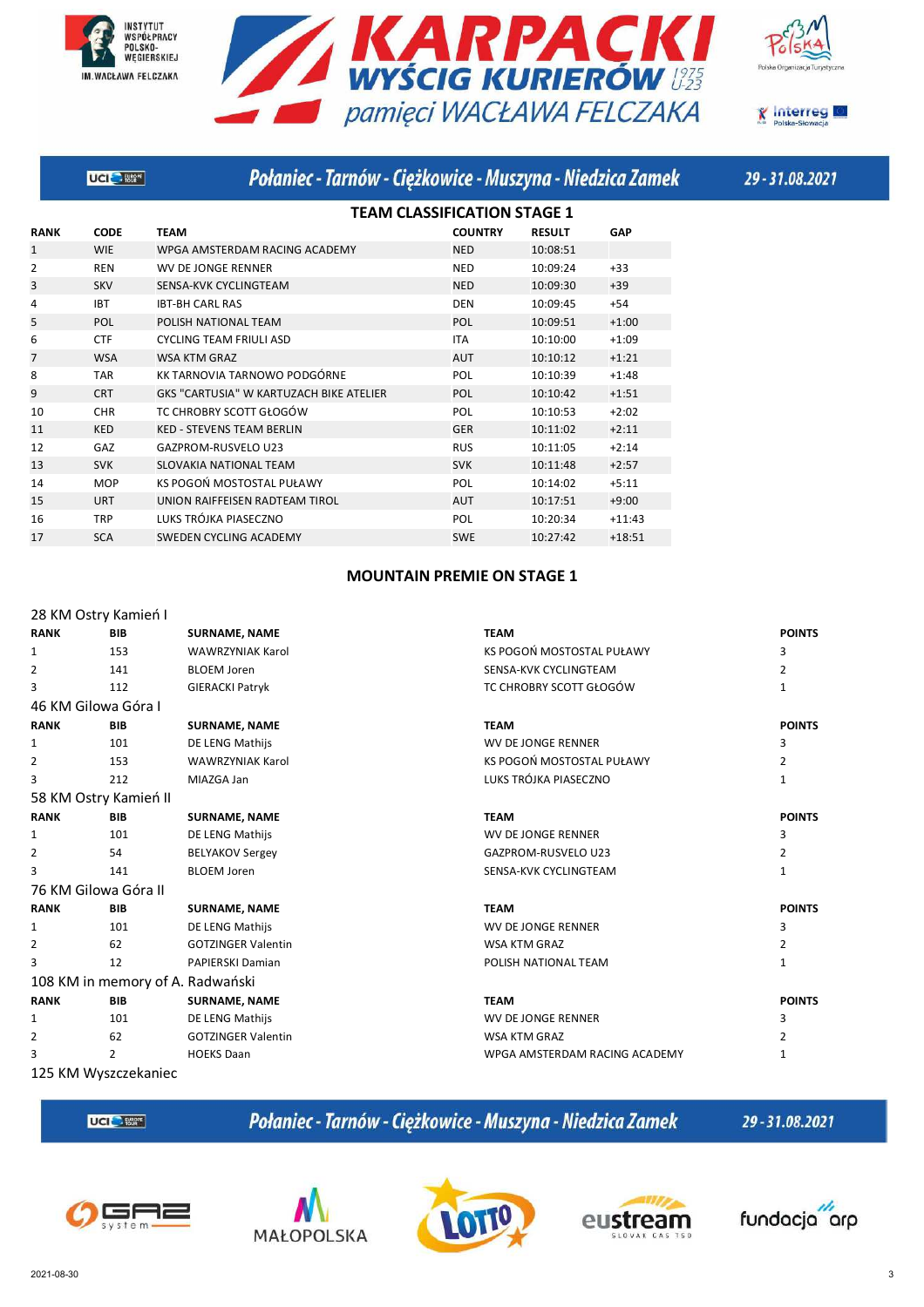







|                | <b>UCI</b> Blow | Połaniec - Tarnów - Ciężkowice - Muszyna - Niedzica Zamek |                                    |               |            |
|----------------|-----------------|-----------------------------------------------------------|------------------------------------|---------------|------------|
|                |                 |                                                           | <b>TEAM CLASSIFICATION STAGE 1</b> |               |            |
| <b>RANK</b>    | <b>CODE</b>     | <b>TEAM</b>                                               | <b>COUNTRY</b>                     | <b>RESULT</b> | <b>GAP</b> |
| 1              | <b>WIE</b>      | WPGA AMSTERDAM RACING ACADEMY                             | <b>NED</b>                         | 10:08:51      |            |
| $\overline{2}$ | <b>REN</b>      | <b>WV DE JONGE RENNER</b>                                 | <b>NED</b>                         | 10:09:24      | $+33$      |
| 3              | <b>SKV</b>      | SENSA-KVK CYCLINGTEAM                                     | <b>NED</b>                         | 10:09:30      | $+39$      |
| 4              | <b>IBT</b>      | <b>IBT-BH CARL RAS</b>                                    | <b>DEN</b>                         | 10:09:45      | $+54$      |
| 5              | <b>POL</b>      | POLISH NATIONAL TEAM                                      | POL                                | 10:09:51      | $+1:00$    |
| 6              | <b>CTF</b>      | <b>CYCLING TEAM FRIULI ASD</b>                            | <b>ITA</b>                         | 10:10:00      | $+1:09$    |
| $\overline{7}$ | <b>WSA</b>      | <b>WSA KTM GRAZ</b>                                       | <b>AUT</b>                         | 10:10:12      | $+1:21$    |
| 8              | <b>TAR</b>      | KK TARNOVIA TARNOWO PODGÓRNE                              | <b>POL</b>                         | 10:10:39      | $+1:48$    |
| 9              | <b>CRT</b>      | GKS "CARTUSIA" W KARTUZACH BIKE ATELIER                   | <b>POL</b>                         | 10:10:42      | $+1:51$    |
| 10             | <b>CHR</b>      | TC CHROBRY SCOTT GŁOGÓW                                   | POL                                | 10:10:53      | $+2:02$    |
| 11             | <b>KED</b>      | <b>KED - STEVENS TEAM BERLIN</b>                          | <b>GER</b>                         | 10:11:02      | $+2:11$    |
| 12             | GAZ             | GAZPROM-RUSVELO U23                                       | <b>RUS</b>                         | 10:11:05      | $+2:14$    |
| 13             | <b>SVK</b>      | <b>SLOVAKIA NATIONAL TEAM</b>                             | <b>SVK</b>                         | 10:11:48      | $+2:57$    |
| 14             | <b>MOP</b>      | KS POGOŃ MOSTOSTAL PUŁAWY                                 | POL                                | 10:14:02      | $+5:11$    |
| 15             | <b>URT</b>      | UNION RAIFFEISEN RADTEAM TIROL                            | <b>AUT</b>                         | 10:17:51      | $+9:00$    |
| 16             | <b>TRP</b>      | LUKS TRÓJKA PIASECZNO                                     | POL                                | 10:20:34      | $+11:43$   |
| 17             | <b>SCA</b>      | <b>SWEDEN CYCLING ACADEMY</b>                             | <b>SWE</b>                         | 10:27:42      | $+18:51$   |
|                |                 |                                                           |                                    |               |            |

### **MOUNTAIN PREMIE ON STAGE 1**

#### 28 KM Ostry Kamień I **RANK BIB SURNAME, NAME TEAM POINTS**  1 153 WAWRZYNIAK Karol 153 KS POGOŃ MOSTOSTAL PUŁAWY 3 2 141 BLOEM Joren SENSA-KVK CYCLINGTEAM 2 3 112 GIERACKI Patryk TC CHROBRY SCOTT GŁOGÓW 1 46 KM Gilowa Góra I **RANK BIB SURNAME, NAME TEAM POINTS**  1 101 DE LENG Mathijs 3 2012 WV DE JONGE RENNER 3 2 153 WAWRZYNIAK Karol 1992 12 KS POGOŃ MOSTOSTAL PUŁAWY 2 3 212 MIAZGA Jan 1 2002 2003 2014 2015 2020 21 LUKS TRÓJKA PIASECZNO 58 KM Ostry Kamień II **RANK BIB SURNAME, NAME TEAM POINTS**  1 101 DE LENG Mathijs 3 3 2 54 BELYAKOV Sergey **CONFERGAL SERVITS SOMETHER SERVITS SERVITS SERVITS SERVITS SERVITS SERVITS SERVITS SERVITS** 3 141 BLOEM Joren SENSA-KVK CYCLINGTEAM 1 76 KM Gilowa Góra II **RANK BIB SURNAME, NAME TEAM POINTS**  1 101 DE LENG Mathijs 3 NV DE JONGE RENNER 3 2 62 GOTZINGER Valentin 2 WSA KTM GRAZ 662 62 GOTZINGER Valentin 3 12 PAPIERSKI Damian 1 POLISH NATIONAL TEAM 1 108 KM in memory of A. Radwański **RANK BIB SURNAME, NAME TEAM POINTS**  1 101 DE LENG Mathijs 3 3 2 62 GOTZINGER Valentin 2 NSA KTM GRAZ 662 GOTZINGER Valentin 2 3 2 HOEKS Daan 1 Notes and 2 HOEKS Daan 1 Notes 2012 1 Notes 2013 1 Notes 2014 1 Notes 2013 1 Notes 2014 1 Notes 2014 1 Notes 2014 1 Notes 2014 1 Notes 2014 1 Notes 2014 1 Notes 2014 1 Notes 2014 1 Notes 2014 1 Notes 2014

125 KM Wyszczekaniec

UCI<sup>C</sup>- Eter

Połaniec - Tarnów - Ciężkowice - Muszyna - Niedzica Zamek









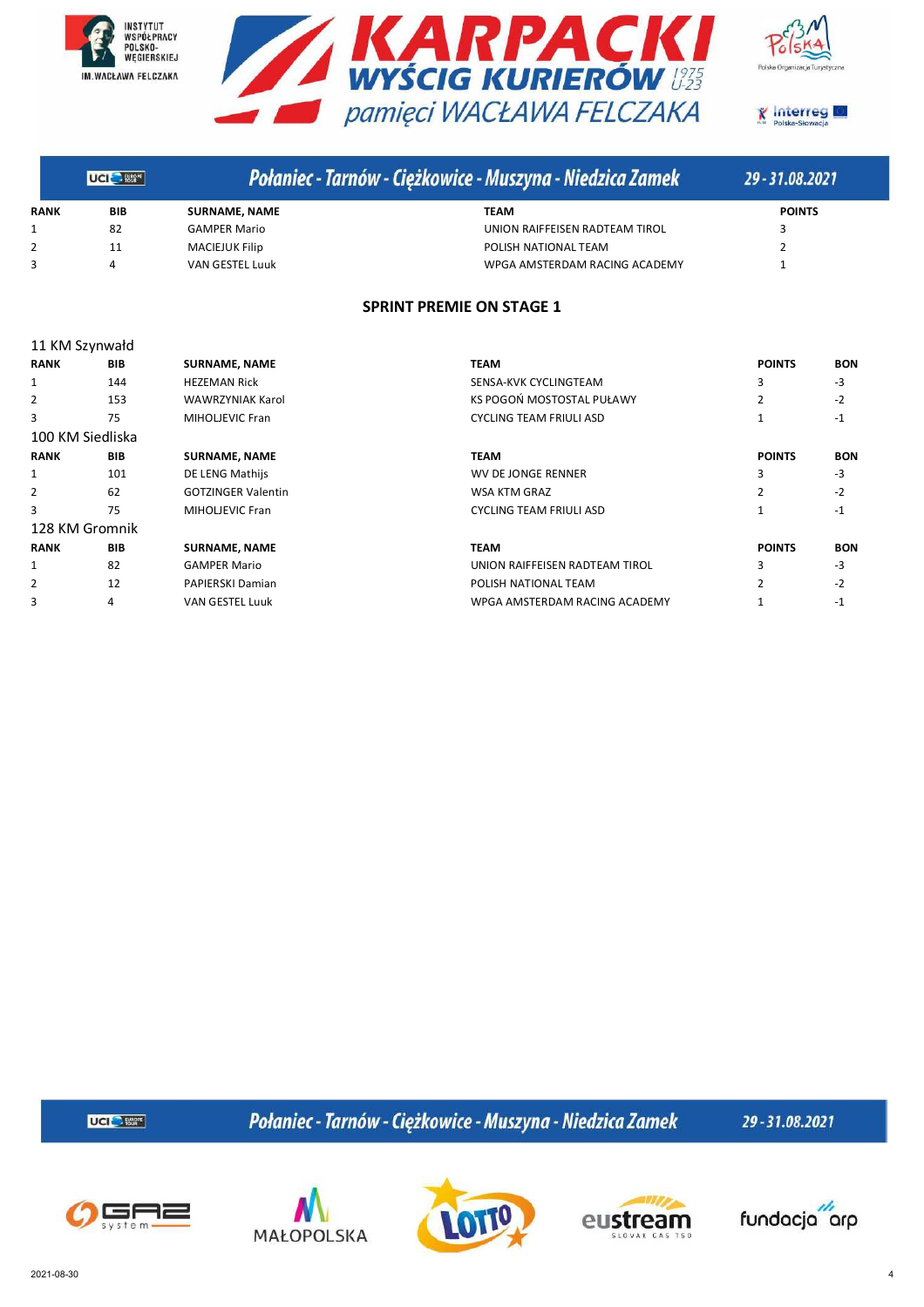







|             | <b>UGI BIGHT</b> |                        | Połaniec - Tarnów - Ciężkowice - Muszyna - Niedzica Zamek | 29 - 31.08.2021 |
|-------------|------------------|------------------------|-----------------------------------------------------------|-----------------|
| <b>RANK</b> | BIB              | <b>SURNAME, NAME</b>   | TEAM                                                      | <b>POINTS</b>   |
|             | 82               | <b>GAMPER Mario</b>    | UNION RAIFFEISEN RADTEAM TIROL                            |                 |
|             |                  | <b>MACIEJUK Filip</b>  | POLISH NATIONAL TEAM                                      |                 |
|             | 4                | <b>VAN GESTEL Luuk</b> | WPGA AMSTERDAM RACING ACADEMY                             |                 |

#### **SPRINT PREMIE ON STAGE 1**

|                  | 11 KM Szynwałd |                           |                                |                |            |  |  |  |  |
|------------------|----------------|---------------------------|--------------------------------|----------------|------------|--|--|--|--|
| <b>RANK</b>      | <b>BIB</b>     | <b>SURNAME, NAME</b>      | <b>TEAM</b>                    | <b>POINTS</b>  | <b>BON</b> |  |  |  |  |
| 1                | 144            | <b>HEZEMAN Rick</b>       | SENSA-KVK CYCLINGTEAM          | 3              | -3         |  |  |  |  |
| 2                | 153            | <b>WAWRZYNIAK Karol</b>   | KS POGOŃ MOSTOSTAL PUŁAWY      | $\overline{2}$ | $-2$       |  |  |  |  |
| 3                | 75             | <b>MIHOLIEVIC Fran</b>    | <b>CYCLING TEAM FRIULI ASD</b> |                | $-1$       |  |  |  |  |
| 100 KM Siedliska |                |                           |                                |                |            |  |  |  |  |
| <b>RANK</b>      | <b>BIB</b>     | <b>SURNAME, NAME</b>      | <b>TEAM</b>                    | <b>POINTS</b>  | <b>BON</b> |  |  |  |  |
| 1                | 101            | DE LENG Mathijs           | WV DE JONGE RENNER             | 3              | $-3$       |  |  |  |  |
| 2                | 62             | <b>GOTZINGER Valentin</b> | WSA KTM GRAZ                   | $\overline{2}$ | $-2$       |  |  |  |  |
| 3                | 75             | MIHOLJEVIC Fran           | <b>CYCLING TEAM FRIULI ASD</b> |                | $-1$       |  |  |  |  |
| 128 KM Gromnik   |                |                           |                                |                |            |  |  |  |  |
| <b>RANK</b>      | <b>BIB</b>     | <b>SURNAME, NAME</b>      | TEAM                           | <b>POINTS</b>  | <b>BON</b> |  |  |  |  |
| 1                | 82             | <b>GAMPER Mario</b>       | UNION RAIFFEISEN RADTEAM TIROL | 3              | $-3$       |  |  |  |  |
| 2                | 12             | PAPIERSKI Damian          | POLISH NATIONAL TEAM           | $\mathfrak{p}$ | $-2$       |  |  |  |  |
| 3                | 4              | <b>VAN GESTEL Luuk</b>    | WPGA AMSTERDAM RACING ACADEMY  |                | $-1$       |  |  |  |  |

**UCI<sup>C</sup>** Eller

Połaniec - Tarnów - Ciężkowice - Muszyna - Niedzica Zamek









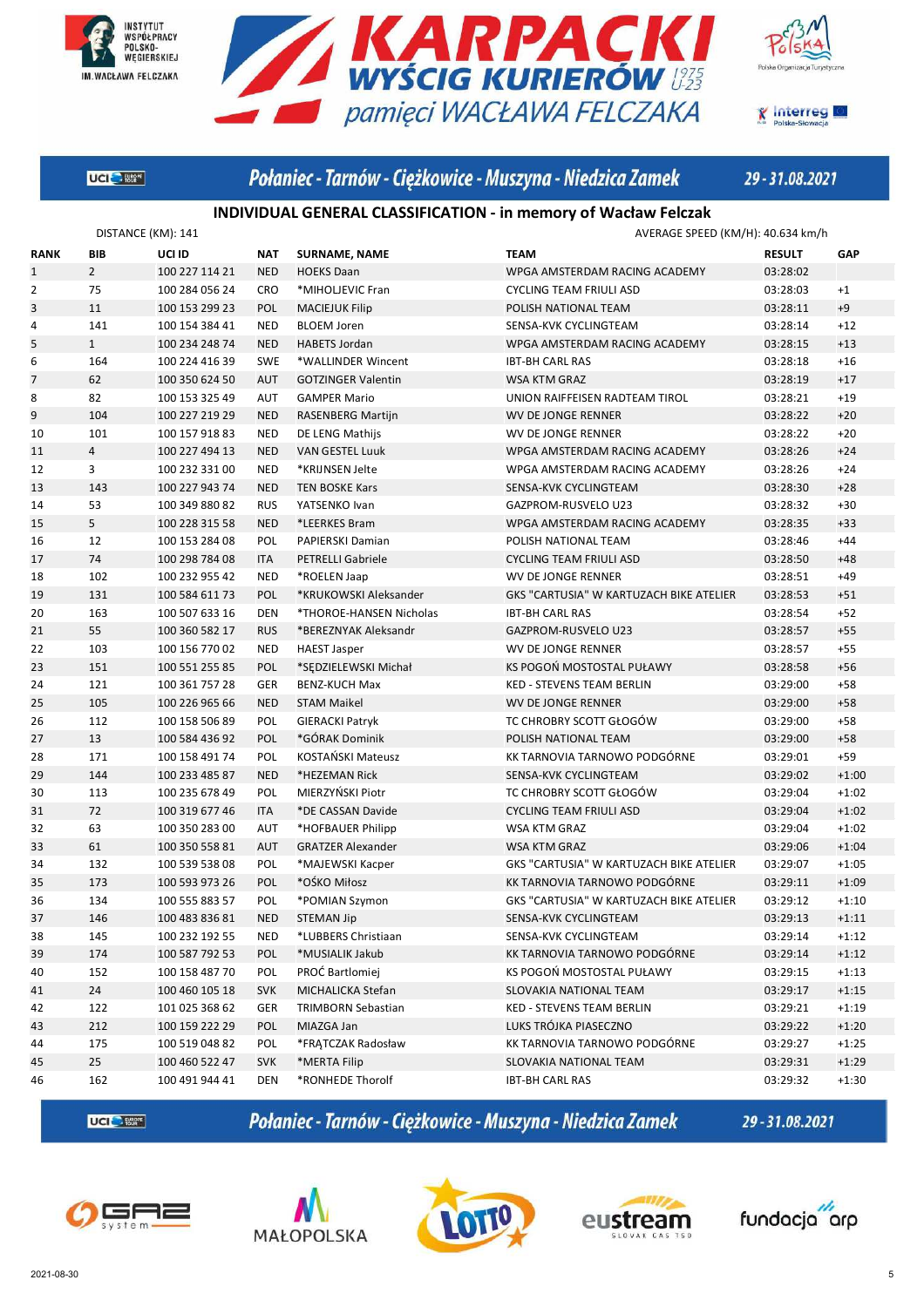







## Połaniec - Tarnów - Ciężkowice - Muszyna - Niedzica Zamek

29-31.08.2021

#### **INDIVIDUAL GENERAL CLASSIFICATION - in memory of Wacław Felczak**

|              | DISTANCE (KM): 141 |                |            |                           | AVERAGE SPEED (KM/H): 40.634 km/h              |               |         |  |
|--------------|--------------------|----------------|------------|---------------------------|------------------------------------------------|---------------|---------|--|
| <b>RANK</b>  | BIB                | UCI ID         | <b>NAT</b> | <b>SURNAME, NAME</b>      | <b>TEAM</b>                                    | <b>RESULT</b> | GAP     |  |
| $\mathbf{1}$ | $\overline{2}$     | 100 227 114 21 | <b>NED</b> | <b>HOEKS Daan</b>         | WPGA AMSTERDAM RACING ACADEMY                  | 03:28:02      |         |  |
| 2            | 75                 | 100 284 056 24 | <b>CRO</b> | *MIHOLJEVIC Fran          | <b>CYCLING TEAM FRIULI ASD</b>                 | 03:28:03      | $+1$    |  |
| 3            | 11                 | 100 153 299 23 | POL        | <b>MACIEJUK Filip</b>     | POLISH NATIONAL TEAM                           | 03:28:11      | $+9$    |  |
| 4            | 141                | 100 154 384 41 | <b>NED</b> | <b>BLOEM Joren</b>        | SENSA-KVK CYCLINGTEAM                          | 03:28:14      | $+12$   |  |
| 5            | $\mathbf{1}$       | 100 234 248 74 | <b>NED</b> | <b>HABETS Jordan</b>      | WPGA AMSTERDAM RACING ACADEMY                  | 03:28:15      | $+13$   |  |
| 6            | 164                | 100 224 416 39 | <b>SWE</b> | *WALLINDER Wincent        | <b>IBT-BH CARL RAS</b>                         | 03:28:18      | $+16$   |  |
| 7            | 62                 | 100 350 624 50 | <b>AUT</b> | <b>GOTZINGER Valentin</b> | WSA KTM GRAZ                                   | 03:28:19      | $+17$   |  |
| 8            | 82                 | 100 153 325 49 | <b>AUT</b> | <b>GAMPER Mario</b>       | UNION RAIFFEISEN RADTEAM TIROL                 | 03:28:21      | $+19$   |  |
| 9            | 104                | 100 227 219 29 | <b>NED</b> | <b>RASENBERG Martijn</b>  | WV DE JONGE RENNER                             | 03:28:22      | $+20$   |  |
| 10           | 101                | 100 157 918 83 | <b>NED</b> | DE LENG Mathijs           | WV DE JONGE RENNER                             | 03:28:22      | $+20$   |  |
| 11           | $\overline{4}$     | 100 227 494 13 | <b>NED</b> | <b>VAN GESTEL Luuk</b>    | WPGA AMSTERDAM RACING ACADEMY                  | 03:28:26      | $+24$   |  |
| 12           | 3                  | 100 232 331 00 | <b>NED</b> | *KRIJNSEN Jelte           | WPGA AMSTERDAM RACING ACADEMY                  | 03:28:26      | $+24$   |  |
| 13           | 143                | 100 227 943 74 | <b>NED</b> | <b>TEN BOSKE Kars</b>     | SENSA-KVK CYCLINGTEAM                          | 03:28:30      | $+28$   |  |
| 14           | 53                 | 100 349 880 82 | <b>RUS</b> | YATSENKO Ivan             | GAZPROM-RUSVELO U23                            | 03:28:32      | $+30$   |  |
| 15           | 5                  | 100 228 315 58 | <b>NED</b> | *LEERKES Bram             | WPGA AMSTERDAM RACING ACADEMY                  | 03:28:35      | $+33$   |  |
| 16           | 12                 | 100 153 284 08 | POL        | PAPIERSKI Damian          | POLISH NATIONAL TEAM                           | 03:28:46      | $+44$   |  |
| 17           | 74                 | 100 298 784 08 | <b>ITA</b> | <b>PETRELLI Gabriele</b>  | <b>CYCLING TEAM FRIULI ASD</b>                 | 03:28:50      | $+48$   |  |
| 18           | 102                | 100 232 955 42 | <b>NED</b> | *ROELEN Jaap              | WV DE JONGE RENNER                             | 03:28:51      | $+49$   |  |
| 19           | 131                | 100 584 611 73 | <b>POL</b> | *KRUKOWSKI Aleksander     | GKS "CARTUSIA" W KARTUZACH BIKE ATELIER        | 03:28:53      | $+51$   |  |
| 20           | 163                | 100 507 633 16 | <b>DEN</b> | *THOROE-HANSEN Nicholas   | <b>IBT-BH CARL RAS</b>                         | 03:28:54      | $+52$   |  |
| 21           | 55                 | 100 360 582 17 | <b>RUS</b> | *BEREZNYAK Aleksandr      | GAZPROM-RUSVELO U23                            | 03:28:57      | $+55$   |  |
| 22           | 103                | 100 156 770 02 | <b>NED</b> | <b>HAEST Jasper</b>       | <b>WV DE JONGE RENNER</b>                      | 03:28:57      | $+55$   |  |
| 23           | 151                | 100 551 255 85 | POL        | *SĘDZIELEWSKI Michał      | KS POGOŃ MOSTOSTAL PUŁAWY                      | 03:28:58      | $+56$   |  |
| 24           | 121                | 100 361 757 28 | <b>GER</b> | <b>BENZ-KUCH Max</b>      | <b>KED - STEVENS TEAM BERLIN</b>               | 03:29:00      | $+58$   |  |
| 25           | 105                | 100 226 965 66 | <b>NED</b> | <b>STAM Maikel</b>        | WV DE JONGE RENNER                             | 03:29:00      | $+58$   |  |
| 26           | 112                | 100 158 506 89 | POL        | <b>GIERACKI Patryk</b>    | TC CHROBRY SCOTT GŁOGÓW                        | 03:29:00      | $+58$   |  |
| 27           | 13                 | 100 584 436 92 | POL        | *GÓRAK Dominik            | POLISH NATIONAL TEAM                           | 03:29:00      | $+58$   |  |
| 28           | 171                | 100 158 491 74 | POL        | KOSTANSKI Mateusz         | KK TARNOVIA TARNOWO PODGÓRNE                   | 03:29:01      | $+59$   |  |
| 29           | 144                | 100 233 485 87 | <b>NED</b> | *HEZEMAN Rick             | SENSA-KVK CYCLINGTEAM                          | 03:29:02      | $+1:00$ |  |
| 30           | 113                | 100 235 678 49 | POL        | MIERZYŃSKI Piotr          | TC CHROBRY SCOTT GŁOGÓW                        | 03:29:04      | $+1:02$ |  |
| 31           | 72                 | 100 319 677 46 | <b>ITA</b> | *DE CASSAN Davide         | <b>CYCLING TEAM FRIULI ASD</b>                 | 03:29:04      | $+1:02$ |  |
| 32           | 63                 | 100 350 283 00 | <b>AUT</b> | *HOFBAUER Philipp         | WSA KTM GRAZ                                   | 03:29:04      | $+1:02$ |  |
| 33           | 61                 | 100 350 558 81 | <b>AUT</b> | <b>GRATZER Alexander</b>  | WSA KTM GRAZ                                   | 03:29:06      | $+1:04$ |  |
| 34           | 132                | 100 539 538 08 | POL        | *MAJEWSKI Kacper          | GKS "CARTUSIA" W KARTUZACH BIKE ATELIER        | 03:29:07      | $+1:05$ |  |
| 35           | 173                | 100 593 973 26 | POL        | *OŚKO Miłosz              | KK TARNOVIA TARNOWO PODGÓRNE                   | 03:29:11      | $+1:09$ |  |
| 36           | 134                | 100 555 883 57 | POL        | *POMIAN Szymon            | <b>GKS "CARTUSIA" W KARTUZACH BIKE ATELIER</b> | 03:29:12      | $+1:10$ |  |
| 37           | 146                | 100 483 836 81 | <b>NED</b> | <b>STEMAN Jip</b>         | SENSA-KVK CYCLINGTEAM                          | 03:29:13      | $+1:11$ |  |
| 38           | 145                | 100 232 192 55 | <b>NED</b> | *LUBBERS Christiaan       | SENSA-KVK CYCLINGTEAM                          | 03:29:14      | $+1:12$ |  |
| 39           | 174                | 100 587 792 53 | <b>POL</b> | *MUSIALIK Jakub           | KK TARNOVIA TARNOWO PODGÓRNE                   | 03:29:14      | $+1:12$ |  |
| 40           | 152                | 100 158 487 70 | POL        | PROĆ Bartlomiej           | KS POGOŃ MOSTOSTAL PUŁAWY                      | 03:29:15      | $+1:13$ |  |
| 41           | 24                 | 100 460 105 18 | <b>SVK</b> | MICHALICKA Stefan         | SLOVAKIA NATIONAL TEAM                         | 03:29:17      | $+1:15$ |  |
| 42           | 122                | 101 025 368 62 | GER        | <b>TRIMBORN Sebastian</b> | KED - STEVENS TEAM BERLIN                      | 03:29:21      | $+1:19$ |  |
| 43           | 212                | 100 159 222 29 | POL        | MIAZGA Jan                | LUKS TRÓJKA PIASECZNO                          | 03:29:22      | $+1:20$ |  |
| 44           | 175                | 100 519 048 82 | POL        | *FRATCZAK Radosław        | KK TARNOVIA TARNOWO PODGÓRNE                   | 03:29:27      | $+1:25$ |  |
| 45           | 25                 | 100 460 522 47 | <b>SVK</b> | *MERTA Filip              | SLOVAKIA NATIONAL TEAM                         | 03:29:31      | $+1:29$ |  |
| 46           | 162                | 100 491 944 41 | DEN        | *RONHEDE Thorolf          | <b>IBT-BH CARL RAS</b>                         | 03:29:32      | $+1:30$ |  |

**UCI<sup>C</sup>** Eller

Połaniec - Tarnów - Ciężkowice - Muszyna - Niedzica Zamek









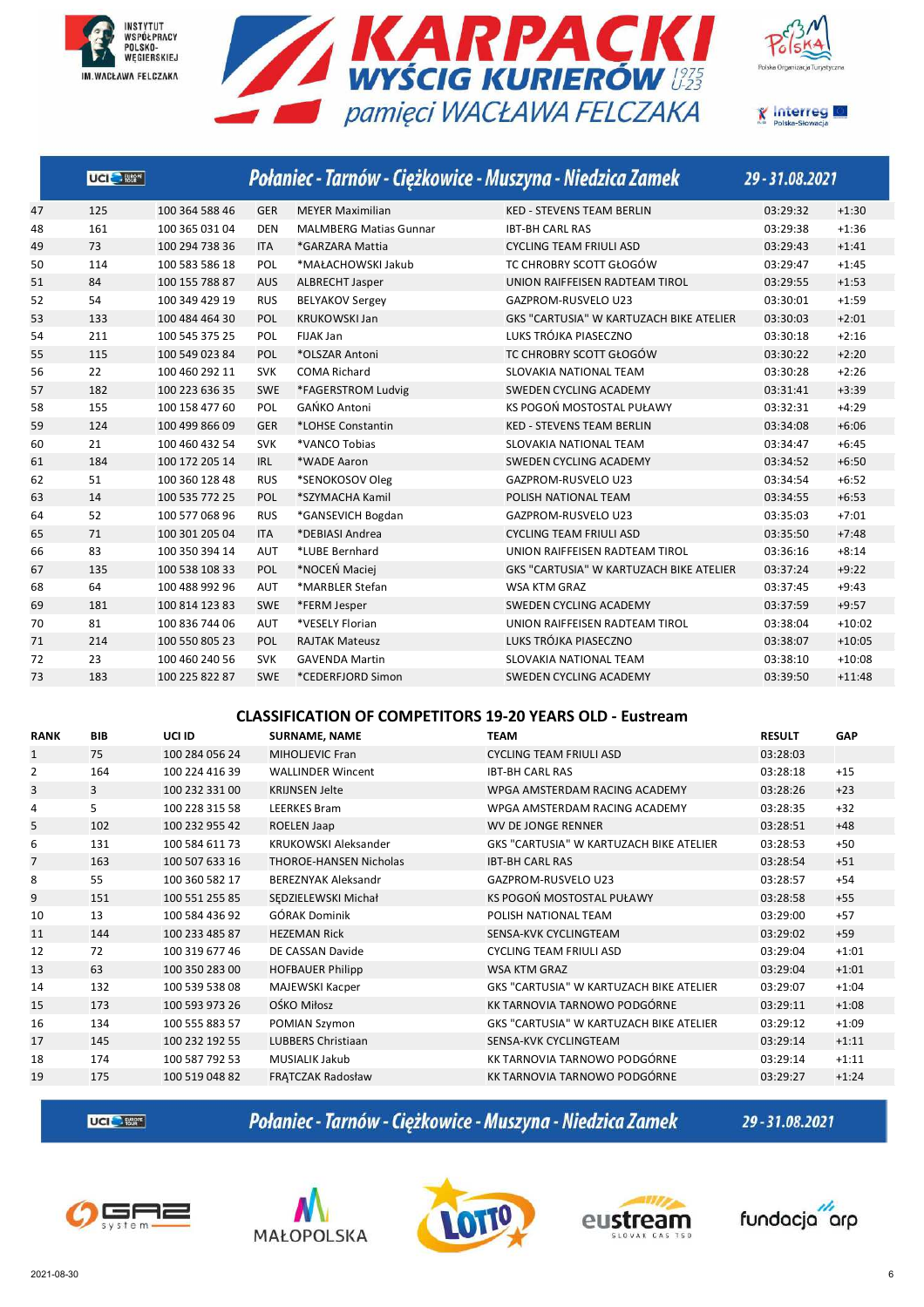







|    | UCI <sup>O</sup> Ester |                |            |                               | Połaniec - Tarnów - Ciężkowice - Muszyna - Niedzica Zamek | 29-31.08.2021 |          |
|----|------------------------|----------------|------------|-------------------------------|-----------------------------------------------------------|---------------|----------|
| 47 | 125                    | 100 364 588 46 | <b>GER</b> | <b>MEYER Maximilian</b>       | <b>KED - STEVENS TEAM BERLIN</b>                          | 03:29:32      | $+1:30$  |
| 48 | 161                    | 100 365 031 04 | <b>DEN</b> | <b>MALMBERG Matias Gunnar</b> | <b>IBT-BH CARL RAS</b>                                    | 03:29:38      | $+1:36$  |
| 49 | 73                     | 100 294 738 36 | <b>ITA</b> | *GARZARA Mattia               | <b>CYCLING TEAM FRIULI ASD</b>                            | 03:29:43      | $+1:41$  |
| 50 | 114                    | 100 583 586 18 | POL        | *MAŁACHOWSKI Jakub            | TC CHROBRY SCOTT GŁOGÓW                                   | 03:29:47      | $+1:45$  |
| 51 | 84                     | 100 155 788 87 | <b>AUS</b> | <b>ALBRECHT Jasper</b>        | UNION RAIFFEISEN RADTEAM TIROL                            | 03:29:55      | $+1:53$  |
| 52 | 54                     | 100 349 429 19 | <b>RUS</b> | <b>BELYAKOV Sergey</b>        | GAZPROM-RUSVELO U23                                       | 03:30:01      | $+1:59$  |
| 53 | 133                    | 100 484 464 30 | POL        | <b>KRUKOWSKI Jan</b>          | GKS "CARTUSIA" W KARTUZACH BIKE ATELIER                   | 03:30:03      | $+2:01$  |
| 54 | 211                    | 100 545 375 25 | POL        | <b>FIJAK Jan</b>              | LUKS TRÓJKA PIASECZNO                                     | 03:30:18      | $+2:16$  |
| 55 | 115                    | 100 549 023 84 | POL        | *OLSZAR Antoni                | TC CHROBRY SCOTT GŁOGÓW                                   | 03:30:22      | $+2:20$  |
| 56 | 22                     | 100 460 292 11 | <b>SVK</b> | <b>COMA Richard</b>           | SLOVAKIA NATIONAL TEAM                                    | 03:30:28      | $+2:26$  |
| 57 | 182                    | 100 223 636 35 | <b>SWE</b> | *FAGERSTROM Ludvig            | SWEDEN CYCLING ACADEMY                                    | 03:31:41      | $+3:39$  |
| 58 | 155                    | 100 158 477 60 | POL        | GAŃKO Antoni                  | KS POGOŃ MOSTOSTAL PUŁAWY                                 | 03:32:31      | $+4:29$  |
| 59 | 124                    | 100 499 866 09 | <b>GER</b> | *LOHSE Constantin             | <b>KED - STEVENS TEAM BERLIN</b>                          | 03:34:08      | $+6:06$  |
| 60 | 21                     | 100 460 432 54 | <b>SVK</b> | *VANCO Tobias                 | SLOVAKIA NATIONAL TEAM                                    | 03:34:47      | $+6:45$  |
| 61 | 184                    | 100 172 205 14 | <b>IRL</b> | *WADE Aaron                   | SWEDEN CYCLING ACADEMY                                    | 03:34:52      | $+6:50$  |
| 62 | 51                     | 100 360 128 48 | <b>RUS</b> | *SENOKOSOV Oleg               | <b>GAZPROM-RUSVELO U23</b>                                | 03:34:54      | $+6:52$  |
| 63 | 14                     | 100 535 772 25 | <b>POL</b> | *SZYMACHA Kamil               | POLISH NATIONAL TEAM                                      | 03:34:55      | $+6:53$  |
| 64 | 52                     | 100 577 068 96 | <b>RUS</b> | *GANSEVICH Bogdan             | GAZPROM-RUSVELO U23                                       | 03:35:03      | $+7:01$  |
| 65 | 71                     | 100 301 205 04 | <b>ITA</b> | *DEBIASI Andrea               | <b>CYCLING TEAM FRIULI ASD</b>                            | 03:35:50      | $+7:48$  |
| 66 | 83                     | 100 350 394 14 | <b>AUT</b> | *LUBE Bernhard                | UNION RAIFFEISEN RADTEAM TIROL                            | 03:36:16      | $+8:14$  |
| 67 | 135                    | 100 538 108 33 | POL        | *NOCEŃ Maciej                 | <b>GKS "CARTUSIA" W KARTUZACH BIKE ATELIER</b>            | 03:37:24      | $+9:22$  |
| 68 | 64                     | 100 488 992 96 | <b>AUT</b> | *MARBLER Stefan               | <b>WSA KTM GRAZ</b>                                       | 03:37:45      | $+9:43$  |
| 69 | 181                    | 100 814 123 83 | <b>SWE</b> | *FERM Jesper                  | <b>SWEDEN CYCLING ACADEMY</b>                             | 03:37:59      | $+9:57$  |
| 70 | 81                     | 100 836 744 06 | <b>AUT</b> | *VESELY Florian               | UNION RAIFFEISEN RADTEAM TIROL                            | 03:38:04      | $+10:02$ |
| 71 | 214                    | 100 550 805 23 | POL        | <b>RAJTAK Mateusz</b>         | LUKS TRÓJKA PIASECZNO                                     | 03:38:07      | $+10:05$ |
| 72 | 23                     | 100 460 240 56 | <b>SVK</b> | <b>GAVENDA Martin</b>         | SLOVAKIA NATIONAL TEAM                                    | 03:38:10      | $+10:08$ |
| 73 | 183                    | 100 225 822 87 | <b>SWE</b> | *CEDERFJORD Simon             | SWEDEN CYCLING ACADEMY                                    | 03:39:50      | $+11:48$ |

#### **CLASSIFICATION OF COMPETITORS 19-20 YEARS OLD - Eustream**

| <b>RANK</b>    | <b>BIB</b> | UCI ID         | <b>SURNAME, NAME</b>          | <b>TEAM</b>                                    | <b>RESULT</b> | <b>GAP</b> |
|----------------|------------|----------------|-------------------------------|------------------------------------------------|---------------|------------|
| 1              | 75         | 100 284 056 24 | MIHOLJEVIC Fran               | <b>CYCLING TEAM FRIULI ASD</b>                 | 03:28:03      |            |
| 2              | 164        | 100 224 416 39 | <b>WALLINDER Wincent</b>      | <b>IBT-BH CARL RAS</b>                         | 03:28:18      | $+15$      |
| 3              | 3          | 100 232 331 00 | <b>KRIJNSEN Jelte</b>         | WPGA AMSTERDAM RACING ACADEMY                  | 03:28:26      | $+23$      |
| 4              | 5          | 100 228 315 58 | <b>LEERKES Bram</b>           | WPGA AMSTERDAM RACING ACADEMY                  | 03:28:35      | $+32$      |
| 5              | 102        | 100 232 955 42 | ROELEN Jaap                   | <b>WV DE JONGE RENNER</b>                      | 03:28:51      | $+48$      |
| 6              | 131        | 100 584 611 73 | <b>KRUKOWSKI Aleksander</b>   | <b>GKS "CARTUSIA" W KARTUZACH BIKE ATELIER</b> | 03:28:53      | $+50$      |
| $\overline{7}$ | 163        | 100 507 633 16 | <b>THOROE-HANSEN Nicholas</b> | <b>IBT-BH CARL RAS</b>                         | 03:28:54      | $+51$      |
| 8              | 55         | 100 360 582 17 | <b>BEREZNYAK Aleksandr</b>    | <b>GAZPROM-RUSVELO U23</b>                     | 03:28:57      | $+54$      |
| 9              | 151        | 100 551 255 85 | SEDZIELEWSKI Michał           | KS POGOŃ MOSTOSTAL PUŁAWY                      | 03:28:58      | $+55$      |
| 10             | 13         | 100 584 436 92 | <b>GÓRAK Dominik</b>          | POLISH NATIONAL TEAM                           | 03:29:00      | $+57$      |
| 11             | 144        | 100 233 485 87 | <b>HEZEMAN Rick</b>           | SENSA-KVK CYCLINGTEAM                          | 03:29:02      | $+59$      |
| 12             | 72         | 100 319 677 46 | DE CASSAN Davide              | <b>CYCLING TEAM FRIULI ASD</b>                 | 03:29:04      | $+1:01$    |
| 13             | 63         | 100 350 283 00 | <b>HOFBAUER Philipp</b>       | <b>WSA KTM GRAZ</b>                            | 03:29:04      | $+1:01$    |
| 14             | 132        | 100 539 538 08 | MAJEWSKI Kacper               | <b>GKS "CARTUSIA" W KARTUZACH BIKE ATELIER</b> | 03:29:07      | $+1:04$    |
| 15             | 173        | 100 593 973 26 | OŚKO Miłosz                   | KK TARNOVIA TARNOWO PODGÓRNE                   | 03:29:11      | $+1:08$    |
| 16             | 134        | 100 555 883 57 | POMIAN Szymon                 | <b>GKS "CARTUSIA" W KARTUZACH BIKE ATELIER</b> | 03:29:12      | $+1:09$    |
| 17             | 145        | 100 232 192 55 | LUBBERS Christiaan            | SENSA-KVK CYCLINGTEAM                          | 03:29:14      | $+1:11$    |
| 18             | 174        | 100 587 792 53 | <b>MUSIALIK Jakub</b>         | KK TARNOVIA TARNOWO PODGÓRNE                   | 03:29:14      | $+1:11$    |
| 19             | 175        | 100 519 048 82 | FRATCZAK Radosław             | KK TARNOVIA TARNOWO PODGÓRNE                   | 03:29:27      | $+1:24$    |
|                |            |                |                               |                                                |               |            |

**UCI<sup>C</sup>** Eller

Połaniec - Tarnów - Ciężkowice - Muszyna - Niedzica Zamek









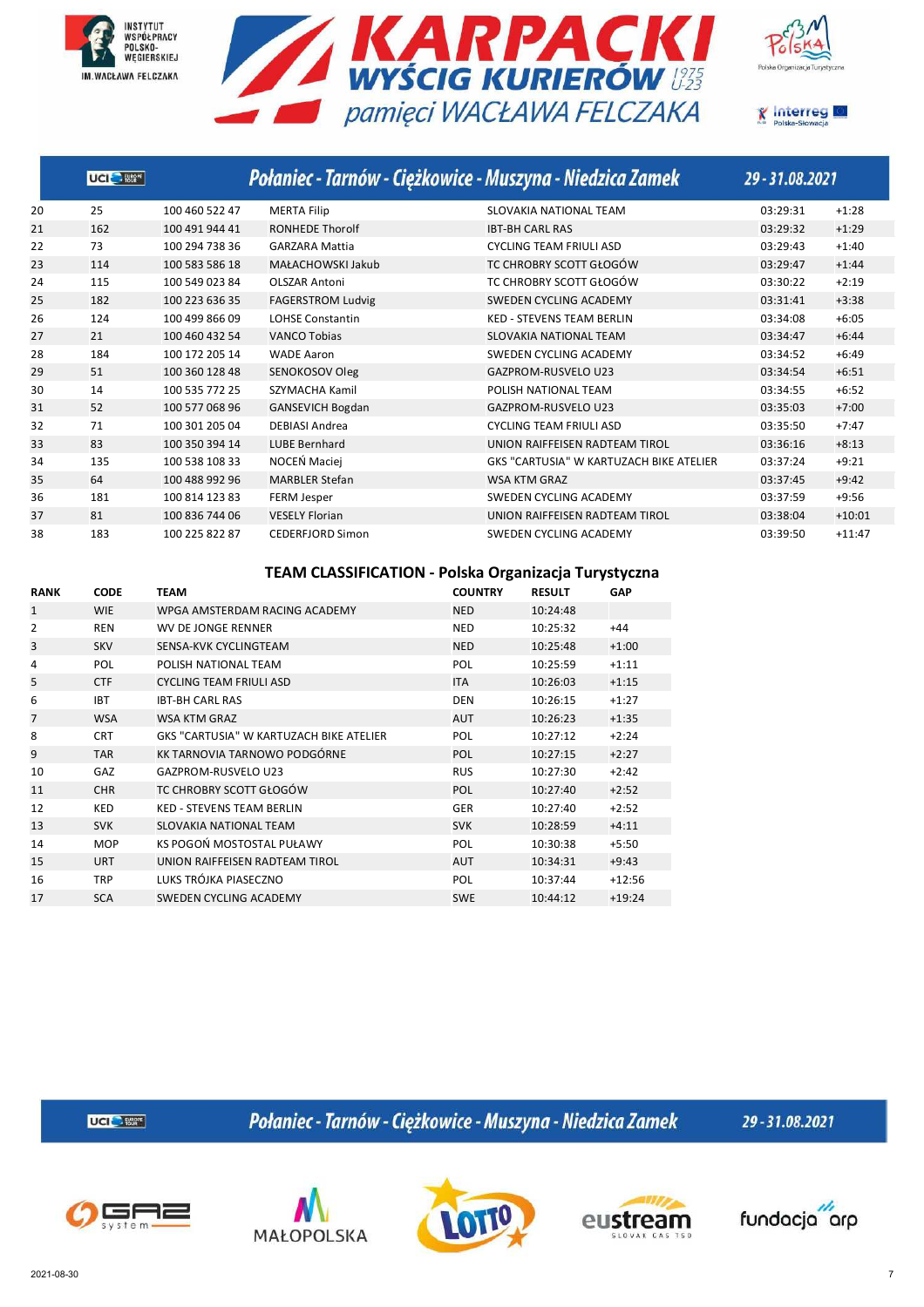







|    | UCI BE |                |                          | Połaniec - Tarnów - Ciężkowice - Muszyna - Niedzica Zamek | 29 - 31.08.2021 |          |
|----|--------|----------------|--------------------------|-----------------------------------------------------------|-----------------|----------|
| 20 | 25     | 100 460 522 47 | <b>MERTA Filip</b>       | SLOVAKIA NATIONAL TEAM                                    | 03:29:31        | $+1:28$  |
| 21 | 162    | 100 491 944 41 | <b>RONHEDE Thorolf</b>   | <b>IBT-BH CARL RAS</b>                                    | 03:29:32        | $+1:29$  |
| 22 | 73     | 100 294 738 36 | <b>GARZARA Mattia</b>    | <b>CYCLING TEAM FRIULI ASD</b>                            | 03:29:43        | $+1:40$  |
| 23 | 114    | 100 583 586 18 | MAŁACHOWSKI Jakub        | TC CHROBRY SCOTT GŁOGÓW                                   | 03:29:47        | $+1:44$  |
| 24 | 115    | 100 549 023 84 | <b>OLSZAR Antoni</b>     | TC CHROBRY SCOTT GŁOGÓW                                   | 03:30:22        | $+2:19$  |
| 25 | 182    | 100 223 636 35 | <b>FAGERSTROM Ludvig</b> | SWEDEN CYCLING ACADEMY                                    | 03:31:41        | $+3:38$  |
| 26 | 124    | 100 499 866 09 | <b>LOHSE Constantin</b>  | <b>KED - STEVENS TEAM BERLIN</b>                          | 03:34:08        | $+6:05$  |
| 27 | 21     | 100 460 432 54 | <b>VANCO Tobias</b>      | SLOVAKIA NATIONAL TEAM                                    | 03:34:47        | $+6:44$  |
| 28 | 184    | 100 172 205 14 | <b>WADE Aaron</b>        | <b>SWEDEN CYCLING ACADEMY</b>                             | 03:34:52        | $+6:49$  |
| 29 | 51     | 100 360 128 48 | SENOKOSOV Oleg           | <b>GAZPROM-RUSVELO U23</b>                                | 03:34:54        | $+6:51$  |
| 30 | 14     | 100 535 772 25 | SZYMACHA Kamil           | POLISH NATIONAL TEAM                                      | 03:34:55        | $+6:52$  |
| 31 | 52     | 100 577 068 96 | <b>GANSEVICH Bogdan</b>  | <b>GAZPROM-RUSVELO U23</b>                                | 03:35:03        | $+7:00$  |
| 32 | 71     | 100 301 205 04 | <b>DEBIASI Andrea</b>    | <b>CYCLING TEAM FRIULI ASD</b>                            | 03:35:50        | $+7:47$  |
| 33 | 83     | 100 350 394 14 | <b>LUBE Bernhard</b>     | UNION RAIFFEISEN RADTEAM TIROL                            | 03:36:16        | $+8:13$  |
| 34 | 135    | 100 538 108 33 | NOCEŃ Maciej             | <b>GKS "CARTUSIA" W KARTUZACH BIKE ATELIER</b>            | 03:37:24        | $+9:21$  |
| 35 | 64     | 100 488 992 96 | <b>MARBLER Stefan</b>    | <b>WSA KTM GRAZ</b>                                       | 03:37:45        | $+9:42$  |
| 36 | 181    | 100 814 123 83 | <b>FERM Jesper</b>       | <b>SWEDEN CYCLING ACADEMY</b>                             | 03:37:59        | $+9:56$  |
| 37 | 81     | 100 836 744 06 | <b>VESELY Florian</b>    | UNION RAIFFEISEN RADTEAM TIROL                            | 03:38:04        | $+10:01$ |
| 38 | 183    | 100 225 822 87 | CEDERFJORD Simon         | SWEDEN CYCLING ACADEMY                                    | 03:39:50        | $+11:47$ |

#### **TEAM CLASSIFICATION - Polska Organizacja Turystyczna**

| <b>RANK</b>    | <b>CODE</b> | <b>TEAM</b>                             | <b>COUNTRY</b> | <b>RESULT</b> | GAP      |
|----------------|-------------|-----------------------------------------|----------------|---------------|----------|
| $\mathbf{1}$   | <b>WIE</b>  | WPGA AMSTERDAM RACING ACADEMY           | <b>NED</b>     | 10:24:48      |          |
| $\overline{2}$ | <b>REN</b>  | WV DE JONGE RENNER                      | <b>NED</b>     | 10:25:32      | $+44$    |
| 3              | <b>SKV</b>  | SENSA-KVK CYCLINGTEAM                   | <b>NED</b>     | 10:25:48      | $+1:00$  |
| 4              | POL         | POLISH NATIONAL TFAM                    | POL            | 10:25:59      | $+1:11$  |
| 5              | <b>CTF</b>  | <b>CYCLING TEAM FRIULI ASD</b>          | <b>ITA</b>     | 10:26:03      | $+1:15$  |
| 6              | <b>IBT</b>  | <b>IRT-RH CARL RAS</b>                  | <b>DEN</b>     | 10:26:15      | $+1:27$  |
| $\overline{7}$ | <b>WSA</b>  | <b>WSA KTM GRAZ</b>                     | <b>AUT</b>     | 10:26:23      | $+1:35$  |
| 8              | <b>CRT</b>  | GKS "CARTUSIA" W KARTUZACH BIKE ATELIER | POL            | 10:27:12      | $+2:24$  |
| 9              | <b>TAR</b>  | KK TARNOVIA TARNOWO PODGÓRNE            | <b>POL</b>     | 10:27:15      | $+2:27$  |
| 10             | GAZ         | GAZPROM-RUSVELO U23                     | <b>RUS</b>     | 10:27:30      | $+2:42$  |
| 11             | <b>CHR</b>  | TC CHROBRY SCOTT GŁOGÓW                 | <b>POL</b>     | 10:27:40      | $+2:52$  |
| 12             | <b>KED</b>  | <b>KED - STEVENS TEAM BERLIN</b>        | <b>GER</b>     | 10:27:40      | $+2:52$  |
| 13             | <b>SVK</b>  | SLOVAKIA NATIONAL TEAM                  | <b>SVK</b>     | 10:28:59      | $+4:11$  |
| 14             | <b>MOP</b>  | KS POGOŃ MOSTOSTAL PUŁAWY               | POL            | 10:30:38      | $+5:50$  |
| 15             | <b>URT</b>  | UNION RAIFFEISEN RADTEAM TIROL          | <b>AUT</b>     | 10:34:31      | $+9:43$  |
| 16             | <b>TRP</b>  | LUKS TRÓJKA PIASECZNO                   | <b>POL</b>     | 10:37:44      | $+12:56$ |
| 17             | <b>SCA</b>  | SWEDEN CYCLING ACADEMY                  | <b>SWE</b>     | 10:44:12      | $+19:24$ |

**UCI<sup>C</sup>** Eller

Połaniec - Tarnów - Ciężkowice - Muszyna - Niedzica Zamek









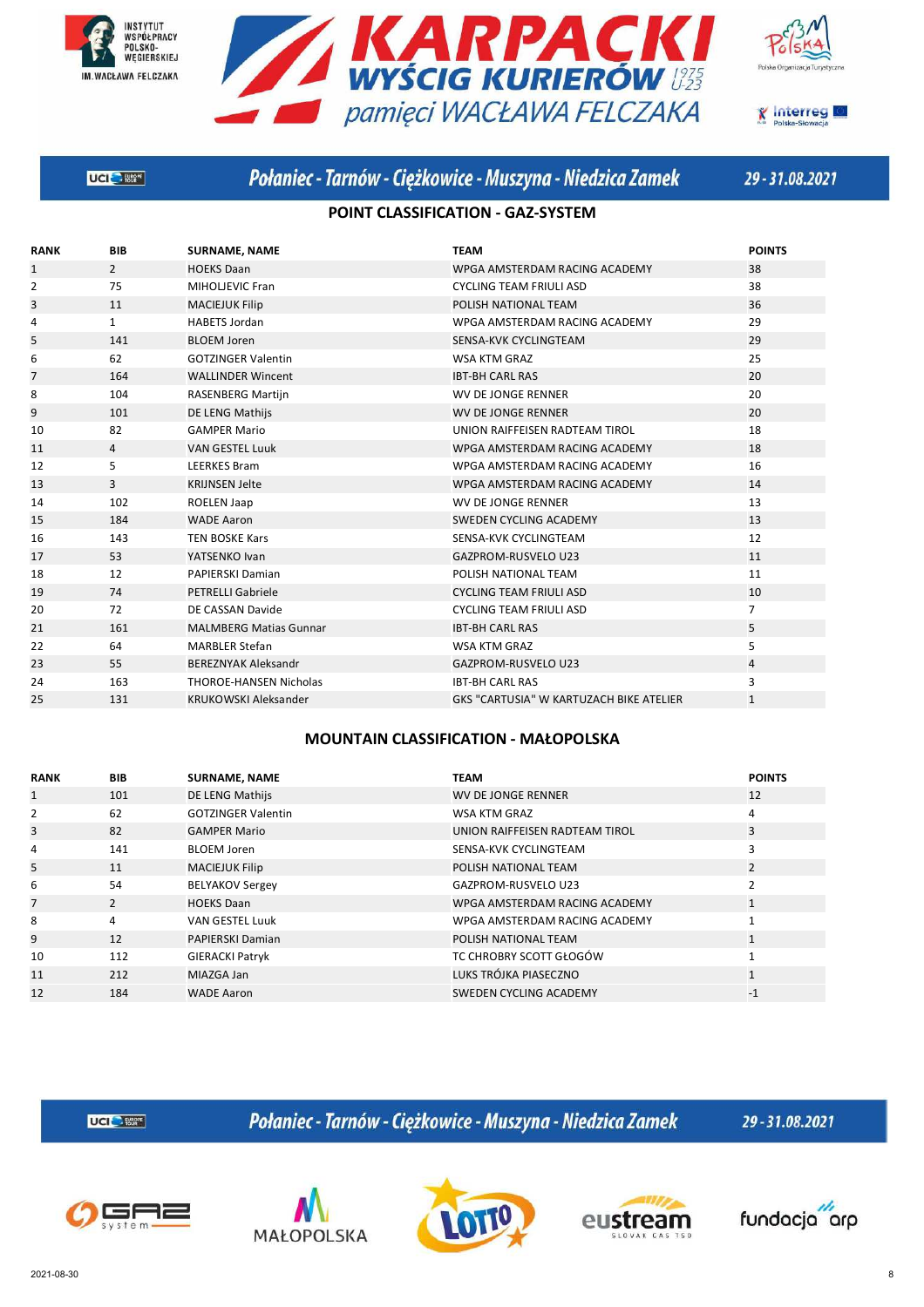







# Połaniec - Tarnów - Ciężkowice - Muszyna - Niedzica Zamek

29-31.08.2021

### **POINT CLASSIFICATION - GAZ-SYSTEM**

| <b>RANK</b>    | <b>BIB</b>     | <b>SURNAME, NAME</b>          | <b>TEAM</b>                             | <b>POINTS</b>  |
|----------------|----------------|-------------------------------|-----------------------------------------|----------------|
| $\mathbf{1}$   | $\overline{2}$ | <b>HOEKS Daan</b>             | WPGA AMSTERDAM RACING ACADEMY           | 38             |
| $\overline{2}$ | 75             | MIHOLJEVIC Fran               | <b>CYCLING TEAM FRIULI ASD</b>          | 38             |
| 3              | 11             | <b>MACIEJUK Filip</b>         | POLISH NATIONAL TEAM                    | 36             |
| 4              | $\mathbf{1}$   | <b>HABETS Jordan</b>          | WPGA AMSTERDAM RACING ACADEMY           | 29             |
| 5              | 141            | <b>BLOEM Joren</b>            | SENSA-KVK CYCLINGTEAM                   | 29             |
| 6              | 62             | <b>GOTZINGER Valentin</b>     | <b>WSA KTM GRAZ</b>                     | 25             |
| $\overline{7}$ | 164            | <b>WALLINDER Wincent</b>      | <b>IBT-BH CARL RAS</b>                  | 20             |
| 8              | 104            | RASENBERG Martijn             | <b>WV DE JONGE RENNER</b>               | 20             |
| 9              | 101            | DE LENG Mathijs               | <b>WV DE JONGE RENNER</b>               | 20             |
| 10             | 82             | <b>GAMPER Mario</b>           | UNION RAIFFEISEN RADTEAM TIROL          | 18             |
| 11             | $\overline{4}$ | <b>VAN GESTEL Luuk</b>        | WPGA AMSTERDAM RACING ACADEMY           | 18             |
| 12             | 5              | <b>LEERKES Bram</b>           | WPGA AMSTERDAM RACING ACADEMY           | 16             |
| 13             | 3              | <b>KRIJNSEN Jelte</b>         | WPGA AMSTERDAM RACING ACADEMY           | 14             |
| 14             | 102            | ROELEN Jaap                   | <b>WV DE JONGE RENNER</b>               | 13             |
| 15             | 184            | <b>WADE Aaron</b>             | SWEDEN CYCLING ACADEMY                  | 13             |
| 16             | 143            | <b>TEN BOSKE Kars</b>         | SENSA-KVK CYCLINGTEAM                   | 12             |
| 17             | 53             | YATSENKO Ivan                 | <b>GAZPROM-RUSVELO U23</b>              | 11             |
| 18             | 12             | <b>PAPIERSKI Damian</b>       | POLISH NATIONAL TEAM                    | 11             |
| 19             | 74             | <b>PETRELLI Gabriele</b>      | <b>CYCLING TEAM FRIULI ASD</b>          | 10             |
| 20             | 72             | DE CASSAN Davide              | <b>CYCLING TEAM FRIULI ASD</b>          | $\overline{7}$ |
| 21             | 161            | <b>MALMBERG Matias Gunnar</b> | <b>IBT-BH CARL RAS</b>                  | 5              |
| 22             | 64             | <b>MARBLER Stefan</b>         | <b>WSA KTM GRAZ</b>                     | 5              |
| 23             | 55             | <b>BEREZNYAK Aleksandr</b>    | <b>GAZPROM-RUSVELO U23</b>              | $\overline{4}$ |
| 24             | 163            | <b>THOROE-HANSEN Nicholas</b> | <b>IBT-BH CARL RAS</b>                  | 3              |
| 25             | 131            | <b>KRUKOWSKI Aleksander</b>   | GKS "CARTUSIA" W KARTUZACH BIKE ATELIER | $\mathbf{1}$   |
|                |                |                               |                                         |                |

#### **MOUNTAIN CLASSIFICATION - MAŁOPOLSKA**

| <b>RANK</b>  | <b>BIB</b>     | <b>SURNAME, NAME</b>      | <b>TEAM</b>                    | <b>POINTS</b>  |
|--------------|----------------|---------------------------|--------------------------------|----------------|
| $\mathbf{1}$ | 101            | DE LENG Mathijs           | WV DE JONGE RENNER             | 12             |
| 2            | 62             | <b>GOTZINGER Valentin</b> | WSA KTM GRAZ                   | 4              |
| 3            | 82             | <b>GAMPER Mario</b>       | UNION RAIFFEISEN RADTEAM TIROL | 3              |
| 4            | 141            | <b>BLOEM Joren</b>        | SENSA-KVK CYCLINGTEAM          | 3              |
| 5            | 11             | <b>MACIEJUK Filip</b>     | POLISH NATIONAL TEAM           | 2              |
| 6            | 54             | <b>BELYAKOV Sergey</b>    | GAZPROM-RUSVELO U23            | $\mathfrak{p}$ |
| 7            | $\overline{2}$ | <b>HOEKS Daan</b>         | WPGA AMSTERDAM RACING ACADEMY  | $\mathbf{1}$   |
| 8            | 4              | <b>VAN GESTEL Luuk</b>    | WPGA AMSTERDAM RACING ACADEMY  | $\overline{ }$ |
| 9            | 12             | <b>PAPIERSKI Damian</b>   | POLISH NATIONAL TEAM           | 1              |
| 10           | 112            | <b>GIERACKI Patryk</b>    | TC CHROBRY SCOTT GŁOGÓW        | 1              |
| 11           | 212            | MIAZGA Jan                | LUKS TRÓJKA PIASECZNO          | $\mathbf{1}$   |
| 12           | 184            | <b>WADE Aaron</b>         | SWEDEN CYCLING ACADEMY         | $-1$           |

UCI<sup>C</sup>-RM<sup>\*</sup>

Połaniec - Tarnów - Ciężkowice - Muszyna - Niedzica Zamek









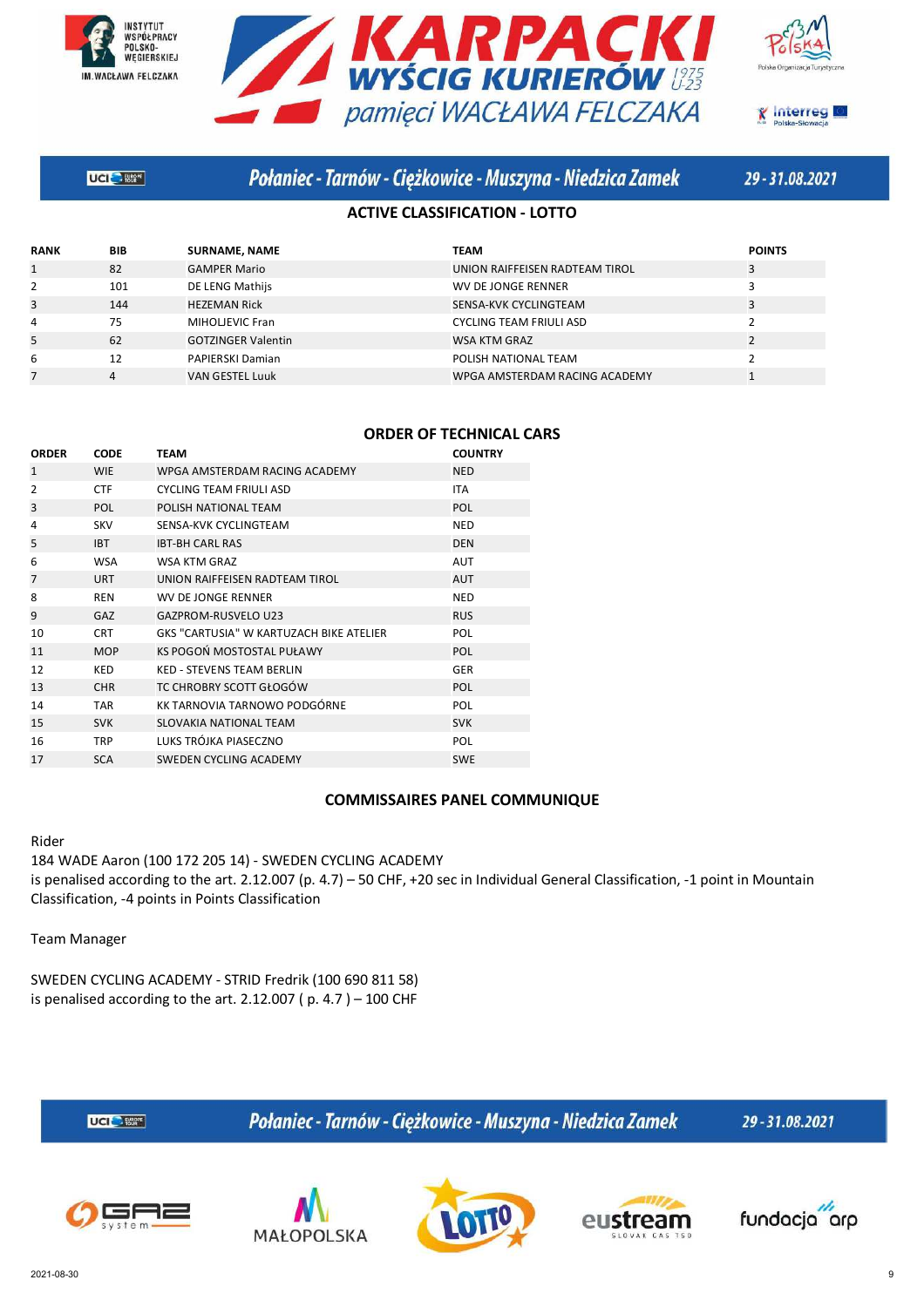







## Połaniec - Tarnów - Ciężkowice - Muszyna - Niedzica Zamek

29-31.08.2021

### **ACTIVE CLASSIFICATION - LOTTO**

| <b>RANK</b>  | <b>BIB</b> | <b>SURNAME, NAME</b>      | <b>TEAM</b>                    | <b>POINTS</b> |
|--------------|------------|---------------------------|--------------------------------|---------------|
| $\mathbf{1}$ | 82         | <b>GAMPER Mario</b>       | UNION RAIFFEISEN RADTEAM TIROL | 3             |
| 2            | 101        | DE LENG Mathijs           | WV DE JONGE RENNER             |               |
| 3            | 144        | <b>HEZEMAN Rick</b>       | SENSA-KVK CYCLINGTEAM          |               |
| 4            | 75         | MIHOLJEVIC Fran           | <b>CYCLING TEAM FRIULI ASD</b> |               |
| 5            | 62         | <b>GOTZINGER Valentin</b> | <b>WSA KTM GRAZ</b>            |               |
| 6            | 12         | PAPIERSKI Damian          | POLISH NATIONAL TEAM           |               |
|              |            | <b>VAN GESTEL Luuk</b>    | WPGA AMSTERDAM RACING ACADEMY  |               |

|  | <b>ORDER OF TECHNICAL CARS</b> |  |  |
|--|--------------------------------|--|--|
|--|--------------------------------|--|--|

| <b>CODE</b> | <b>TEAM</b>                             | <b>COUNTRY</b> |
|-------------|-----------------------------------------|----------------|
| <b>WIE</b>  | WPGA AMSTERDAM RACING ACADEMY           | <b>NED</b>     |
| <b>CTF</b>  | <b>CYCLING TEAM FRIULI ASD</b>          | <b>ITA</b>     |
| POL         | POLISH NATIONAL TEAM                    | <b>POL</b>     |
| <b>SKV</b>  | SENSA-KVK CYCLINGTEAM                   | <b>NED</b>     |
| <b>IBT</b>  | <b>IBT-BH CARL RAS</b>                  | <b>DEN</b>     |
| <b>WSA</b>  | WSA KTM GRAZ                            | <b>AUT</b>     |
| <b>URT</b>  | UNION RAIFFEISEN RADTEAM TIROL          | <b>AUT</b>     |
| <b>REN</b>  | <b>WV DE JONGE RENNER</b>               | <b>NED</b>     |
| GAZ         | <b>GAZPROM-RUSVELO U23</b>              | <b>RUS</b>     |
| <b>CRT</b>  | GKS "CARTUSIA" W KARTUZACH BIKE ATELIER | POL            |
| <b>MOP</b>  | KS POGOŃ MOSTOSTAL PUŁAWY               | <b>POL</b>     |
| <b>KED</b>  | <b>KED - STEVENS TEAM BERLIN</b>        | <b>GER</b>     |
| <b>CHR</b>  | TC CHROBRY SCOTT GŁOGÓW                 | <b>POL</b>     |
| <b>TAR</b>  | KK TARNOVIA TARNOWO PODGÓRNE            | POL            |
| <b>SVK</b>  | <b>SLOVAKIA NATIONAL TEAM</b>           | <b>SVK</b>     |
| <b>TRP</b>  | LUKS TRÓJKA PIASECZNO                   | POL            |
| <b>SCA</b>  | SWEDEN CYCLING ACADEMY                  | <b>SWE</b>     |
|             |                                         |                |

#### **COMMISSAIRES PANEL COMMUNIQUE**

Rider

184 WADE Aaron (100 172 205 14) - SWEDEN CYCLING ACADEMY is penalised according to the art. 2.12.007 (p. 4.7) – 50 CHF, +20 sec in Individual General Classification, -1 point in Mountain Classification, -4 points in Points Classification

Team Manager

SWEDEN CYCLING ACADEMY - STRID Fredrik (100 690 811 58) is penalised according to the art.  $2.12.007$  (p.  $4.7$ ) – 100 CHF



Połaniec - Tarnów - Ciężkowice - Muszyna - Niedzica Zamek







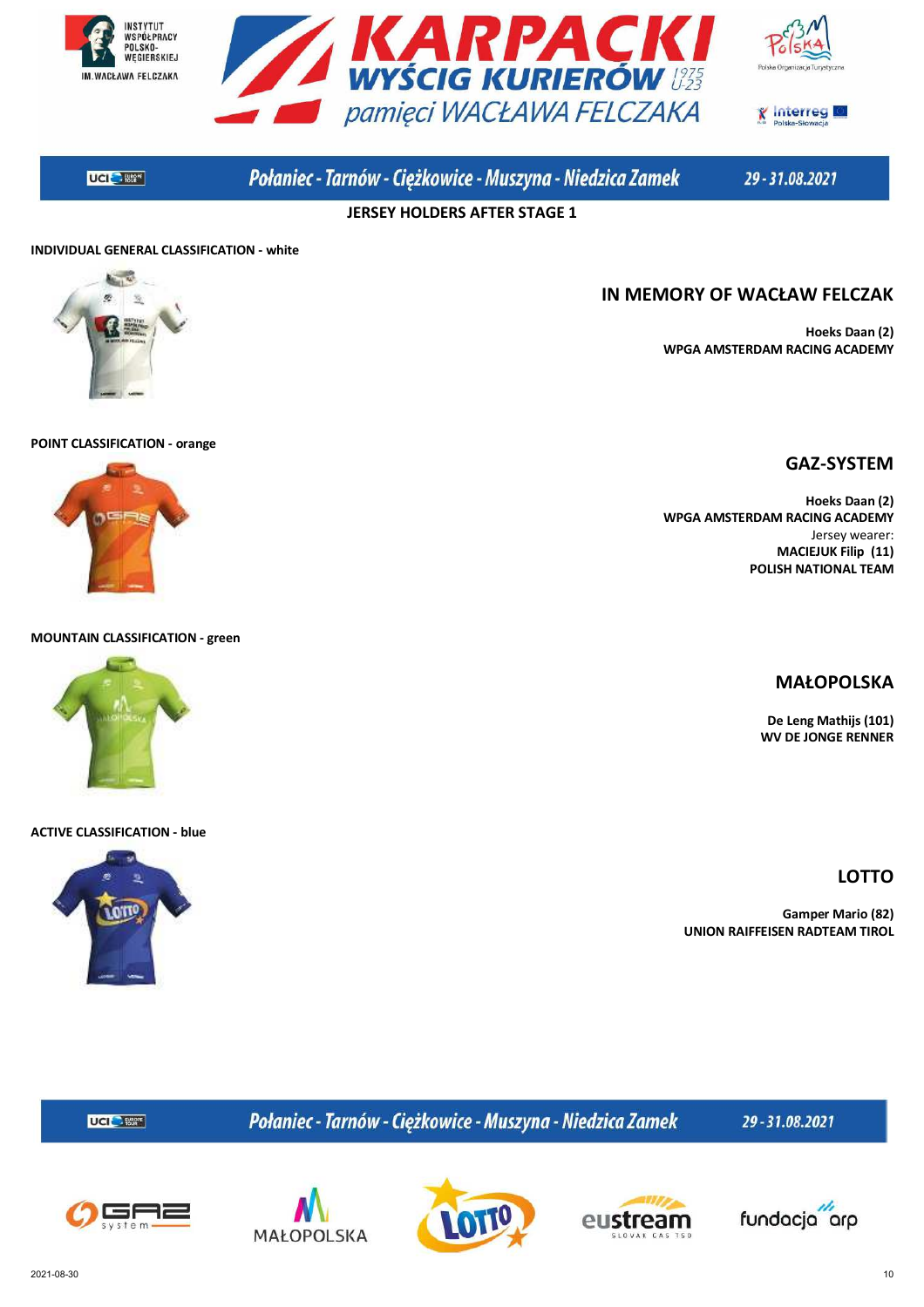





**UCIC** - 1862<sup>F</sup>

Połaniec - Tarnów - Ciężkowice - Muszyna - Niedzica Zamek

29-31.08.2021

**IN MEMORY OF WACŁAW FELCZAK**

**JERSEY HOLDERS AFTER STAGE 1**

#### **INDIVIDUAL GENERAL CLASSIFICATION - white**



## **POINT CLASSIFICATION - orange**

## **GAZ-SYSTEM**

**Hoeks Daan (2)**

**Hoeks Daan (2) WPGA AMSTERDAM RACING ACADEMY** Jersey wearer: **MACIEJUK Filip (11) POLISH NATIONAL TEAM**

**WPGA AMSTERDAM RACING ACADEMY**

#### **MOUNTAIN CLASSIFICATION - green**



#### **ACTIVE CLASSIFICATION - blue**



**MAŁOPOLSKA De Leng Mathijs (101) WV DE JONGE RENNER**

**LOTTO**

**Gamper Mario (82) UNION RAIFFEISEN RADTEAM TIROL**

Połaniec - Tarnów - Ciężkowice - Muszyna - Niedzica Zamek

29-31.08.2021



UCI<sup>C</sup>- Etter







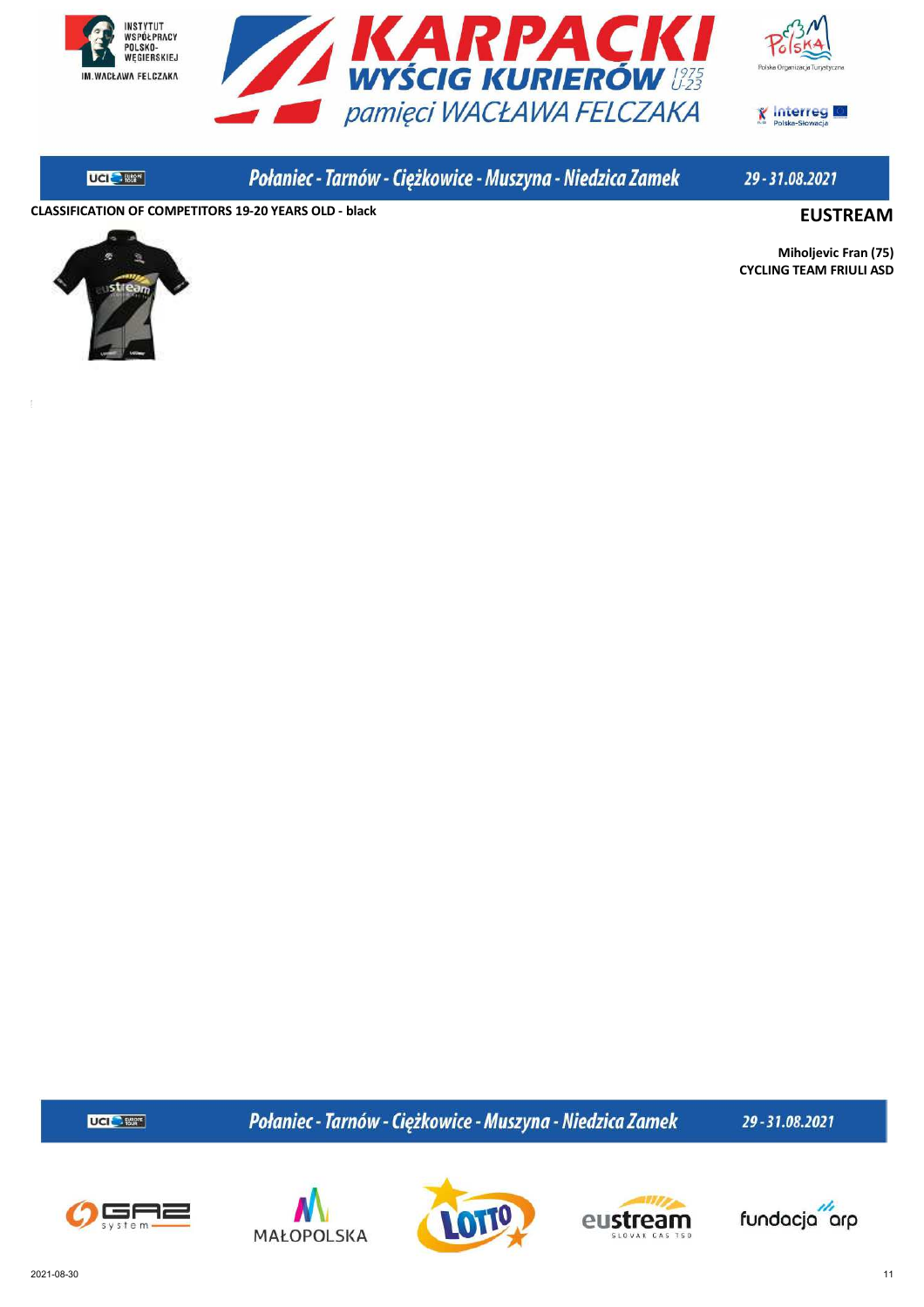



**X** Interreg

**UCI SERVICE** 

Połaniec - Tarnów - Ciężkowice - Muszyna - Niedzica Zamek

29-31.08.2021

**CLASSIFICATION OF COMPETITORS 19-20 YEARS OLD - black EUSTREAM**



**Miholjevic Fran (75) CYCLING TEAM FRIULI ASD**

UCI<sup>C</sup> 1869\*

Połaniec - Tarnów - Ciężkowice - Muszyna - Niedzica Zamek









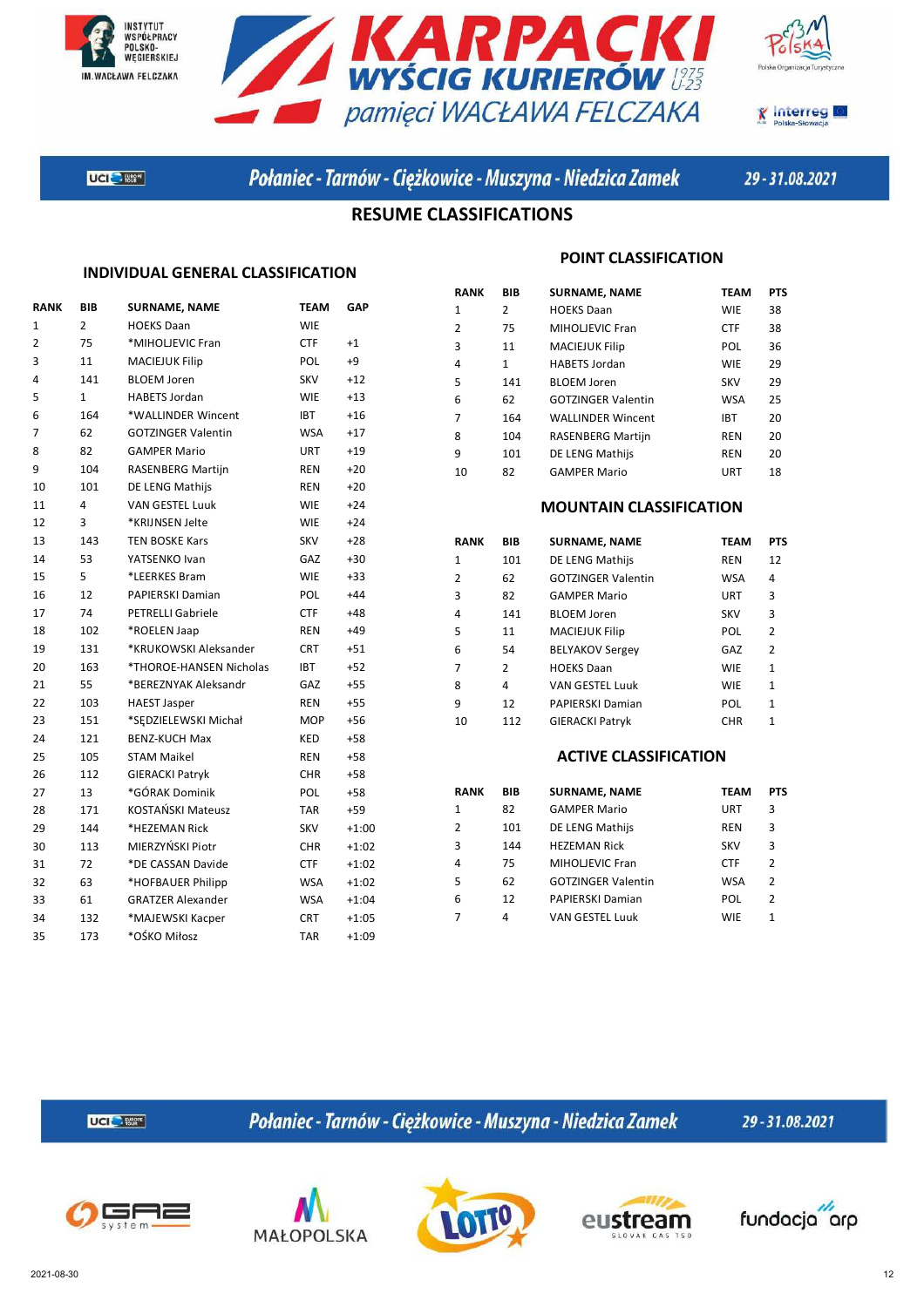







Połaniec - Tarnów - Ciężkowice - Muszyna - Niedzica Zamek

29-31.08.2021

### **RESUME CLASSIFICATIONS**

#### **INDIVIDUAL GENERAL CLASSIFICATION**

| RANK           | BIB            | <b>SURNAME, NAME</b>      | TEAM       | <b>GAP</b> |
|----------------|----------------|---------------------------|------------|------------|
| 1              | $\overline{2}$ | <b>HOEKS Daan</b>         | <b>WIE</b> |            |
| $\overline{2}$ | 75             | *MIHOLJEVIC Fran          | <b>CTF</b> | $+1$       |
| 3              | 11             | <b>MACIEJUK Filip</b>     | <b>POL</b> | $+9$       |
| 4              | 141            | <b>BLOEM Joren</b>        | <b>SKV</b> | $+12$      |
| 5              | $\mathbf{1}$   | <b>HABETS Jordan</b>      | <b>WIE</b> | $+13$      |
| 6              | 164            | *WALLINDER Wincent        | <b>IBT</b> | $+16$      |
| 7              | 62             | <b>GOTZINGER Valentin</b> | <b>WSA</b> | $+17$      |
| 8              | 82             | <b>GAMPER Mario</b>       | <b>URT</b> | $+19$      |
| 9              | 104            | <b>RASENBERG Martijn</b>  | REN        | $+20$      |
| 10             | 101            | DE LENG Mathijs           | REN        | $+20$      |
| 11             | 4              | <b>VAN GESTEL Luuk</b>    | <b>WIE</b> | $+24$      |
| 12             | 3              | *KRIJNSEN Jelte           | <b>WIE</b> | $+24$      |
| 13             | 143            | <b>TEN BOSKE Kars</b>     | <b>SKV</b> | $+28$      |
| 14             | 53             | YATSENKO Ivan             | GAZ        | $+30$      |
| 15             | 5              | *LEERKES Bram             | <b>WIE</b> | $+33$      |
| 16             | 12             | PAPIERSKI Damian          | POL        | $+44$      |
| 17             | 74             | <b>PETRELLI Gabriele</b>  | <b>CTF</b> | $+48$      |
| 18             | 102            | *ROELEN Jaap              | REN        | $+49$      |
| 19             | 131            | *KRUKOWSKI Aleksander     | <b>CRT</b> | $+51$      |
| 20             | 163            | *THOROE-HANSEN Nicholas   | <b>IBT</b> | $+52$      |
| 21             | 55             | *BEREZNYAK Aleksandr      | GAZ        | $+55$      |
| 22             | 103            | <b>HAEST Jasper</b>       | <b>REN</b> | $+55$      |
| 23             | 151            | *SEDZIELEWSKI Michał      | <b>MOP</b> | $+56$      |
| 24             | 121            | <b>BENZ-KUCH Max</b>      | <b>KED</b> | $+58$      |
| 25             | 105            | <b>STAM Maikel</b>        | REN        | +58        |
| 26             | 112            | <b>GIERACKI Patryk</b>    | CHR.       | $+58$      |
| 27             | 13             | *GÓRAK Dominik            | <b>POL</b> | $+58$      |
| 28             | 171            | KOSTAŃSKI Mateusz         | <b>TAR</b> | +59        |
| 29             | 144            | *HEZEMAN Rick             | <b>SKV</b> | $+1:00$    |
| 30             | 113            | MIERZYŃSKI Piotr          | <b>CHR</b> | $+1:02$    |
| 31             | 72             | *DE CASSAN Davide         | <b>CTF</b> | $+1:02$    |
| 32             | 63             | *HOFBAUER Philipp         | WSA        | $+1:02$    |
| 33             | 61             | <b>GRATZER Alexander</b>  | WSA        | $+1:04$    |
| 34             | 132            | *MAJEWSKI Kacper          | CRT.       | $+1:05$    |
| 35             | 173            | *OŚKO Miłosz              | <b>TAR</b> | $+1:09$    |
|                |                |                           |            |            |

#### **POINT CLASSIFICATION**

| RANK           | <b>BIB</b> | <b>SURNAME, NAME</b>      | <b>TEAM</b> | <b>PTS</b> |
|----------------|------------|---------------------------|-------------|------------|
| 1              | 2          | <b>HOEKS Daan</b>         | <b>WIE</b>  | 38         |
| $\overline{2}$ | 75         | MIHOLIEVIC Fran           | <b>CTF</b>  | 38         |
| 3              | 11         | <b>MACIEJUK Filip</b>     | POL         | 36         |
| 4              | 1          | <b>HABETS Jordan</b>      | <b>WIE</b>  | 29         |
| 5              | 141        | <b>BLOEM Joren</b>        | <b>SKV</b>  | 29         |
| 6              | 62         | <b>GOTZINGER Valentin</b> | <b>WSA</b>  | 25         |
| 7              | 164        | <b>WALLINDER Wincent</b>  | <b>IBT</b>  | 20         |
| 8              | 104        | <b>RASENBERG Martijn</b>  | <b>REN</b>  | 20         |
| q              | 101        | DE LENG Mathijs           | <b>REN</b>  | 20         |
| 10             | 82         | <b>GAMPER Mario</b>       | URT         | 18         |

#### **MOUNTAIN CLASSIFICATION**

| RANK | <b>BIB</b> | <b>SURNAME, NAME</b>      | <b>TEAM</b> | <b>PTS</b>     |
|------|------------|---------------------------|-------------|----------------|
| 1    | 101        | DE LENG Mathijs           | <b>REN</b>  | 12             |
| 2    | 62         | <b>GOTZINGER Valentin</b> | <b>WSA</b>  | 4              |
| 3    | 82         | <b>GAMPER Mario</b>       | URT         | 3              |
| 4    | 141        | <b>BLOEM Joren</b>        | <b>SKV</b>  | 3              |
| 5    | 11         | <b>MACIEJUK Filip</b>     | POL         | $\overline{2}$ |
| 6    | 54         | <b>BELYAKOV Sergey</b>    | GAZ         | 2              |
| 7    | 2          | <b>HOEKS Daan</b>         | <b>WIE</b>  | $\mathbf{1}$   |
| 8    | 4          | <b>VAN GESTEL Luuk</b>    | <b>WIE</b>  | $\mathbf{1}$   |
| q    | 12         | <b>PAPIERSKI Damian</b>   | POL         | 1              |
| 10   | 112        | <b>GIERACKI Patryk</b>    | <b>CHR</b>  | $\mathbf{1}$   |

#### **ACTIVE CLASSIFICATION**

| RANK           | <b>BIB</b> | <b>SURNAME, NAME</b>      | <b>TEAM</b> | <b>PTS</b>    |
|----------------|------------|---------------------------|-------------|---------------|
| 1              | 82         | <b>GAMPER Mario</b>       | URT         | 3             |
| $\overline{2}$ | 101        | DE LENG Mathijs           | <b>REN</b>  | 3             |
| 3              | 144        | <b>HEZEMAN Rick</b>       | <b>SKV</b>  | 3             |
| 4              | 75         | <b>MIHOLJEVIC Fran</b>    | <b>CTF</b>  | 2             |
| 5              | 62         | <b>GOTZINGER Valentin</b> | <b>WSA</b>  | $\mathcal{P}$ |
| 6              | 12         | PAPIERSKI Damian          | POL         | 2             |
| 7              | 4          | <b>VAN GESTEL Luuk</b>    | <b>WIE</b>  | 1             |
|                |            |                           |             |               |

UCI<sup>C</sup> 1869\*

Połaniec - Tarnów - Ciężkowice - Muszyna - Niedzica Zamek